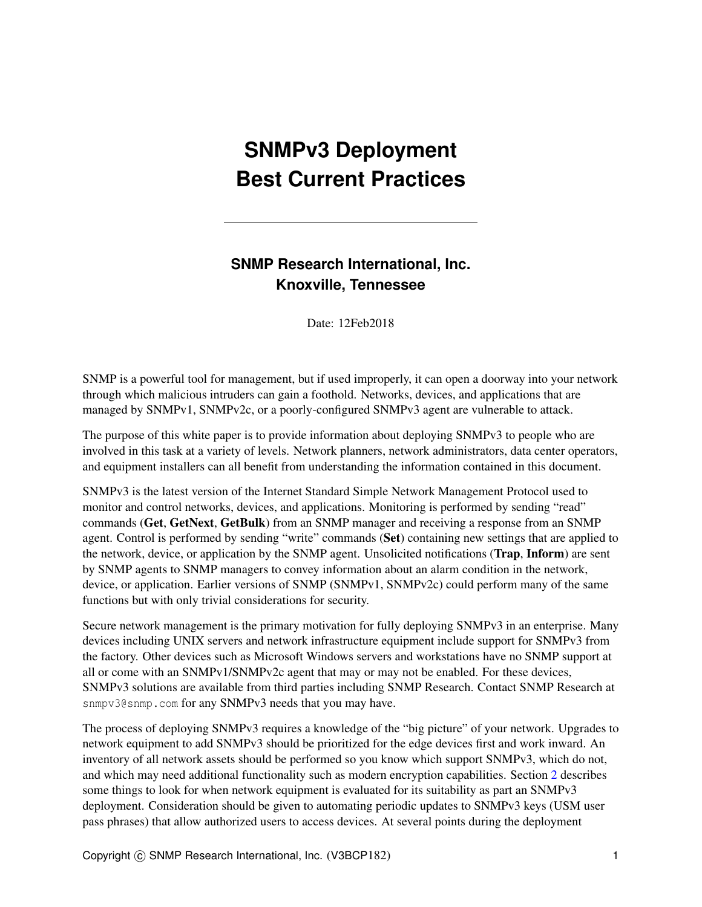# **SNMPv3 Deployment Best Current Practices**

## **SNMP Research International, Inc. Knoxville, Tennessee**

Date: 12Feb2018

SNMP is a powerful tool for management, but if used improperly, it can open a doorway into your network through which malicious intruders can gain a foothold. Networks, devices, and applications that are managed by SNMPv1, SNMPv2c, or a poorly-configured SNMPv3 agent are vulnerable to attack.

The purpose of this white paper is to provide information about deploying SNMPv3 to people who are involved in this task at a variety of levels. Network planners, network administrators, data center operators, and equipment installers can all benefit from understanding the information contained in this document.

SNMPv3 is the latest version of the Internet Standard Simple Network Management Protocol used to monitor and control networks, devices, and applications. Monitoring is performed by sending "read" commands (Get, GetNext, GetBulk) from an SNMP manager and receiving a response from an SNMP agent. Control is performed by sending "write" commands (Set) containing new settings that are applied to the network, device, or application by the SNMP agent. Unsolicited notifications (Trap, Inform) are sent by SNMP agents to SNMP managers to convey information about an alarm condition in the network, device, or application. Earlier versions of SNMP (SNMPv1, SNMPv2c) could perform many of the same functions but with only trivial considerations for security.

Secure network management is the primary motivation for fully deploying SNMPv3 in an enterprise. Many devices including UNIX servers and network infrastructure equipment include support for SNMPv3 from the factory. Other devices such as Microsoft Windows servers and workstations have no SNMP support at all or come with an SNMPv1/SNMPv2c agent that may or may not be enabled. For these devices, SNMPv3 solutions are available from third parties including SNMP Research. Contact SNMP Research at snmpv3@snmp.com for any SNMPv3 needs that you may have.

The process of deploying SNMPv3 requires a knowledge of the "big picture" of your network. Upgrades to network equipment to add SNMPv3 should be prioritized for the edge devices first and work inward. An inventory of all network assets should be performed so you know which support SNMPv3, which do not, and which may need additional functionality such as modern encryption capabilities. Section [2](#page-5-0) describes some things to look for when network equipment is evaluated for its suitability as part an SNMPv3 deployment. Consideration should be given to automating periodic updates to SNMPv3 keys (USM user pass phrases) that allow authorized users to access devices. At several points during the deployment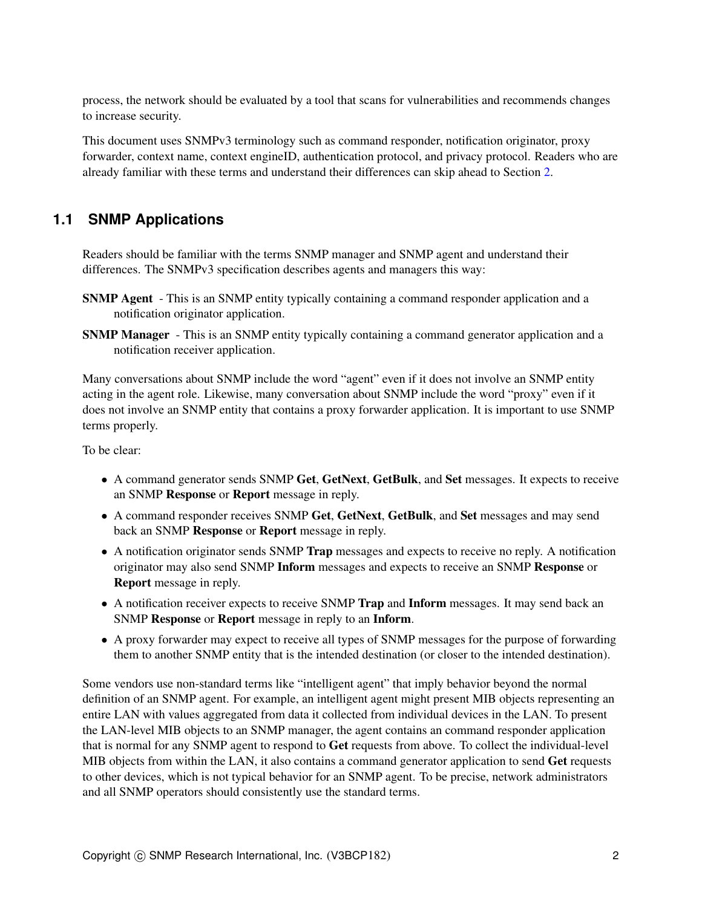process, the network should be evaluated by a tool that scans for vulnerabilities and recommends changes to increase security.

This document uses SNMPv3 terminology such as command responder, notification originator, proxy forwarder, context name, context engineID, authentication protocol, and privacy protocol. Readers who are already familiar with these terms and understand their differences can skip ahead to Section [2.](#page-5-0)

### <span id="page-1-0"></span>**1.1 SNMP Applications**

Readers should be familiar with the terms SNMP manager and SNMP agent and understand their differences. The SNMPv3 specification describes agents and managers this way:

- SNMP Agent This is an SNMP entity typically containing a command responder application and a notification originator application.
- SNMP Manager This is an SNMP entity typically containing a command generator application and a notification receiver application.

Many conversations about SNMP include the word "agent" even if it does not involve an SNMP entity acting in the agent role. Likewise, many conversation about SNMP include the word "proxy" even if it does not involve an SNMP entity that contains a proxy forwarder application. It is important to use SNMP terms properly.

To be clear:

- A command generator sends SNMP Get, GetNext, GetBulk, and Set messages. It expects to receive an SNMP Response or Report message in reply.
- A command responder receives SNMP Get, GetNext, GetBulk, and Set messages and may send back an SNMP Response or Report message in reply.
- A notification originator sends SNMP Trap messages and expects to receive no reply. A notification originator may also send SNMP Inform messages and expects to receive an SNMP Response or Report message in reply.
- A notification receiver expects to receive SNMP Trap and Inform messages. It may send back an SNMP Response or Report message in reply to an Inform.
- A proxy forwarder may expect to receive all types of SNMP messages for the purpose of forwarding them to another SNMP entity that is the intended destination (or closer to the intended destination).

Some vendors use non-standard terms like "intelligent agent" that imply behavior beyond the normal definition of an SNMP agent. For example, an intelligent agent might present MIB objects representing an entire LAN with values aggregated from data it collected from individual devices in the LAN. To present the LAN-level MIB objects to an SNMP manager, the agent contains an command responder application that is normal for any SNMP agent to respond to Get requests from above. To collect the individual-level MIB objects from within the LAN, it also contains a command generator application to send Get requests to other devices, which is not typical behavior for an SNMP agent. To be precise, network administrators and all SNMP operators should consistently use the standard terms.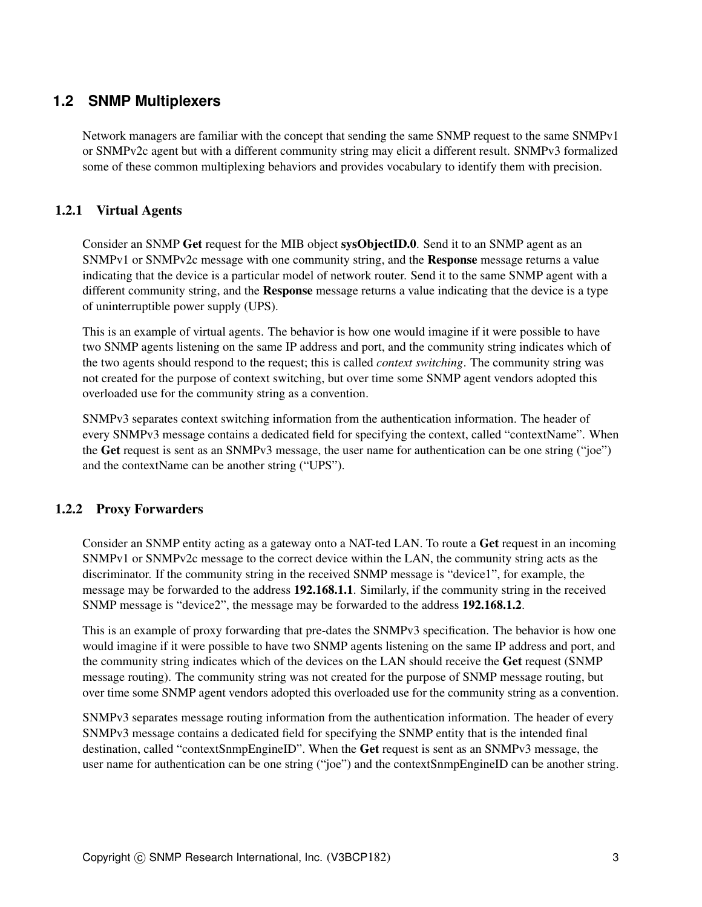### <span id="page-2-0"></span>**1.2 SNMP Multiplexers**

Network managers are familiar with the concept that sending the same SNMP request to the same SNMPv1 or SNMPv2c agent but with a different community string may elicit a different result. SNMPv3 formalized some of these common multiplexing behaviors and provides vocabulary to identify them with precision.

### 1.2.1 Virtual Agents

Consider an SNMP Get request for the MIB object sysObjectID.0. Send it to an SNMP agent as an SNMPv1 or SNMPv2c message with one community string, and the Response message returns a value indicating that the device is a particular model of network router. Send it to the same SNMP agent with a different community string, and the **Response** message returns a value indicating that the device is a type of uninterruptible power supply (UPS).

This is an example of virtual agents. The behavior is how one would imagine if it were possible to have two SNMP agents listening on the same IP address and port, and the community string indicates which of the two agents should respond to the request; this is called *context switching*. The community string was not created for the purpose of context switching, but over time some SNMP agent vendors adopted this overloaded use for the community string as a convention.

SNMPv3 separates context switching information from the authentication information. The header of every SNMPv3 message contains a dedicated field for specifying the context, called "contextName". When the Get request is sent as an SNMPv3 message, the user name for authentication can be one string ("joe") and the contextName can be another string ("UPS").

### <span id="page-2-1"></span>1.2.2 Proxy Forwarders

Consider an SNMP entity acting as a gateway onto a NAT-ted LAN. To route a Get request in an incoming SNMPv1 or SNMPv2c message to the correct device within the LAN, the community string acts as the discriminator. If the community string in the received SNMP message is "device1", for example, the message may be forwarded to the address 192.168.1.1. Similarly, if the community string in the received SNMP message is "device2", the message may be forwarded to the address 192.168.1.2.

This is an example of proxy forwarding that pre-dates the SNMPv3 specification. The behavior is how one would imagine if it were possible to have two SNMP agents listening on the same IP address and port, and the community string indicates which of the devices on the LAN should receive the Get request (SNMP message routing). The community string was not created for the purpose of SNMP message routing, but over time some SNMP agent vendors adopted this overloaded use for the community string as a convention.

SNMPv3 separates message routing information from the authentication information. The header of every SNMPv3 message contains a dedicated field for specifying the SNMP entity that is the intended final destination, called "contextSnmpEngineID". When the Get request is sent as an SNMPv3 message, the user name for authentication can be one string ("joe") and the contextSnmpEngineID can be another string.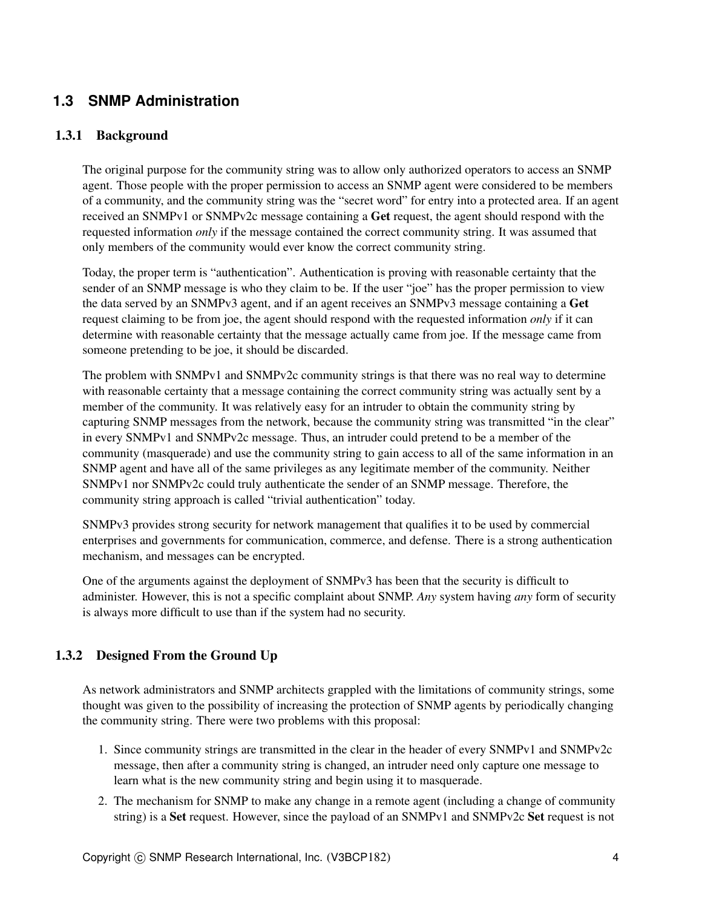### **1.3 SNMP Administration**

#### 1.3.1 Background

The original purpose for the community string was to allow only authorized operators to access an SNMP agent. Those people with the proper permission to access an SNMP agent were considered to be members of a community, and the community string was the "secret word" for entry into a protected area. If an agent received an SNMPv1 or SNMPv2c message containing a Get request, the agent should respond with the requested information *only* if the message contained the correct community string. It was assumed that only members of the community would ever know the correct community string.

Today, the proper term is "authentication". Authentication is proving with reasonable certainty that the sender of an SNMP message is who they claim to be. If the user "joe" has the proper permission to view the data served by an SNMPv3 agent, and if an agent receives an SNMPv3 message containing a Get request claiming to be from joe, the agent should respond with the requested information *only* if it can determine with reasonable certainty that the message actually came from joe. If the message came from someone pretending to be joe, it should be discarded.

The problem with SNMPv1 and SNMPv2c community strings is that there was no real way to determine with reasonable certainty that a message containing the correct community string was actually sent by a member of the community. It was relatively easy for an intruder to obtain the community string by capturing SNMP messages from the network, because the community string was transmitted "in the clear" in every SNMPv1 and SNMPv2c message. Thus, an intruder could pretend to be a member of the community (masquerade) and use the community string to gain access to all of the same information in an SNMP agent and have all of the same privileges as any legitimate member of the community. Neither SNMPv1 nor SNMPv2c could truly authenticate the sender of an SNMP message. Therefore, the community string approach is called "trivial authentication" today.

SNMPv3 provides strong security for network management that qualifies it to be used by commercial enterprises and governments for communication, commerce, and defense. There is a strong authentication mechanism, and messages can be encrypted.

One of the arguments against the deployment of SNMPv3 has been that the security is difficult to administer. However, this is not a specific complaint about SNMP. *Any* system having *any* form of security is always more difficult to use than if the system had no security.

### <span id="page-3-0"></span>1.3.2 Designed From the Ground Up

As network administrators and SNMP architects grappled with the limitations of community strings, some thought was given to the possibility of increasing the protection of SNMP agents by periodically changing the community string. There were two problems with this proposal:

- 1. Since community strings are transmitted in the clear in the header of every SNMPv1 and SNMPv2c message, then after a community string is changed, an intruder need only capture one message to learn what is the new community string and begin using it to masquerade.
- 2. The mechanism for SNMP to make any change in a remote agent (including a change of community string) is a Set request. However, since the payload of an SNMPv1 and SNMPv2c Set request is not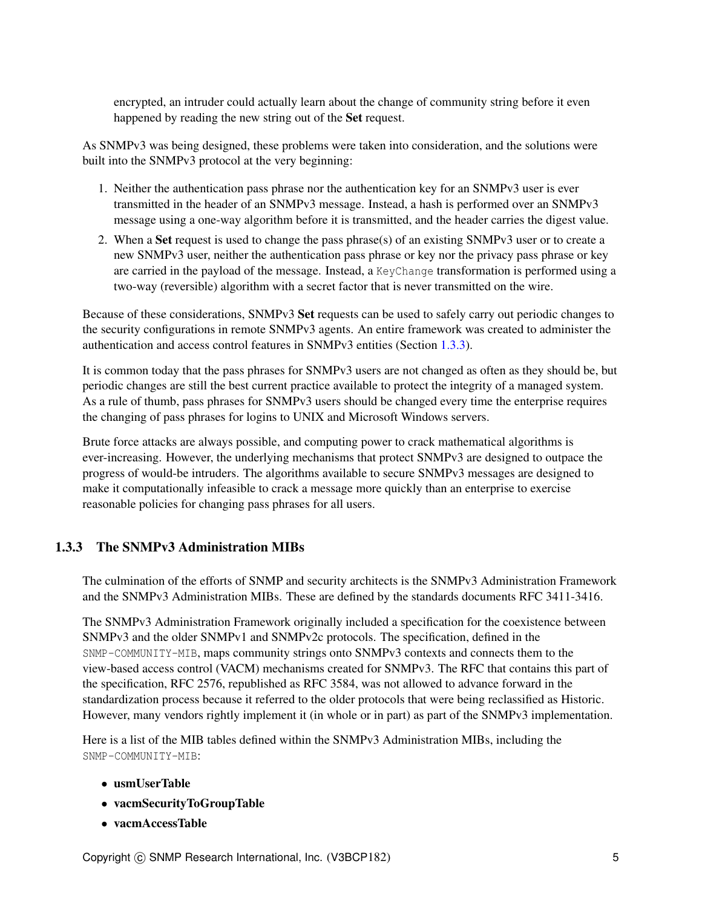encrypted, an intruder could actually learn about the change of community string before it even happened by reading the new string out of the Set request.

As SNMPv3 was being designed, these problems were taken into consideration, and the solutions were built into the SNMPv3 protocol at the very beginning:

- 1. Neither the authentication pass phrase nor the authentication key for an SNMPv3 user is ever transmitted in the header of an SNMPv3 message. Instead, a hash is performed over an SNMPv3 message using a one-way algorithm before it is transmitted, and the header carries the digest value.
- 2. When a Set request is used to change the pass phrase(s) of an existing SNMPv3 user or to create a new SNMPv3 user, neither the authentication pass phrase or key nor the privacy pass phrase or key are carried in the payload of the message. Instead, a KeyChange transformation is performed using a two-way (reversible) algorithm with a secret factor that is never transmitted on the wire.

Because of these considerations, SNMPv3 Set requests can be used to safely carry out periodic changes to the security configurations in remote SNMPv3 agents. An entire framework was created to administer the authentication and access control features in SNMPv3 entities (Section [1.3.3\)](#page-4-0).

It is common today that the pass phrases for SNMPv3 users are not changed as often as they should be, but periodic changes are still the best current practice available to protect the integrity of a managed system. As a rule of thumb, pass phrases for SNMPv3 users should be changed every time the enterprise requires the changing of pass phrases for logins to UNIX and Microsoft Windows servers.

Brute force attacks are always possible, and computing power to crack mathematical algorithms is ever-increasing. However, the underlying mechanisms that protect SNMPv3 are designed to outpace the progress of would-be intruders. The algorithms available to secure SNMPv3 messages are designed to make it computationally infeasible to crack a message more quickly than an enterprise to exercise reasonable policies for changing pass phrases for all users.

### <span id="page-4-0"></span>1.3.3 The SNMPv3 Administration MIBs

The culmination of the efforts of SNMP and security architects is the SNMPv3 Administration Framework and the SNMPv3 Administration MIBs. These are defined by the standards documents RFC 3411-3416.

The SNMPv3 Administration Framework originally included a specification for the coexistence between SNMPv3 and the older SNMPv1 and SNMPv2c protocols. The specification, defined in the SNMP-COMMUNITY-MIB, maps community strings onto SNMPv3 contexts and connects them to the view-based access control (VACM) mechanisms created for SNMPv3. The RFC that contains this part of the specification, RFC 2576, republished as RFC 3584, was not allowed to advance forward in the standardization process because it referred to the older protocols that were being reclassified as Historic. However, many vendors rightly implement it (in whole or in part) as part of the SNMPv3 implementation.

Here is a list of the MIB tables defined within the SNMPv3 Administration MIBs, including the SNMP-COMMUNITY-MIB:

- usmUserTable
- vacmSecurityToGroupTable
- vacmAccessTable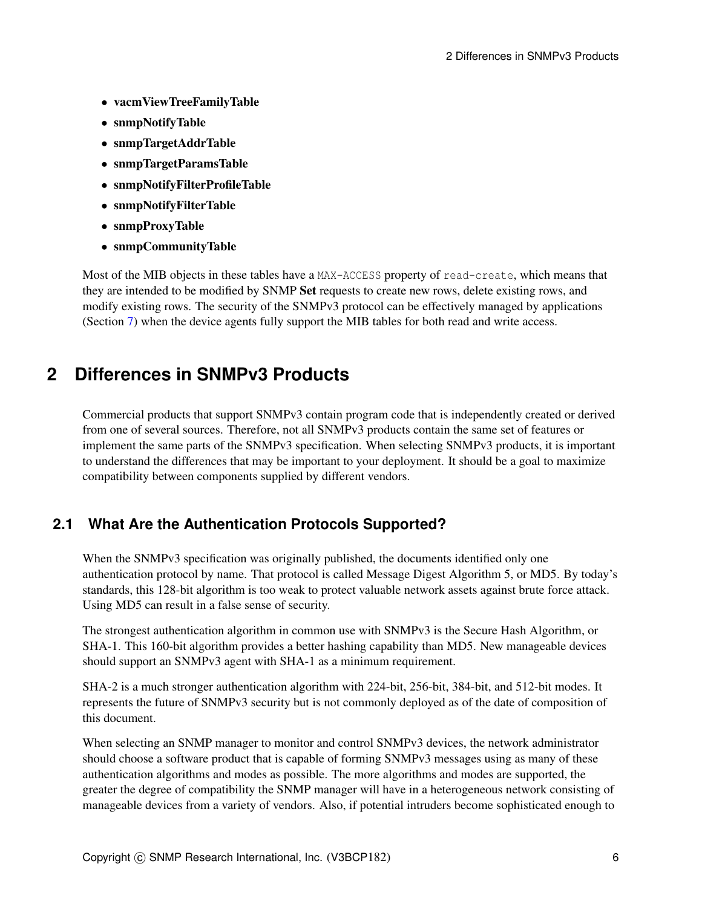- vacmViewTreeFamilyTable
- snmpNotifyTable
- snmpTargetAddrTable
- snmpTargetParamsTable
- snmpNotifyFilterProfileTable
- snmpNotifyFilterTable
- snmpProxyTable
- snmpCommunityTable

Most of the MIB objects in these tables have a MAX-ACCESS property of read-create, which means that they are intended to be modified by SNMP Set requests to create new rows, delete existing rows, and modify existing rows. The security of the SNMPv3 protocol can be effectively managed by applications (Section [7\)](#page-21-0) when the device agents fully support the MIB tables for both read and write access.

## <span id="page-5-0"></span>**2 Differences in SNMPv3 Products**

Commercial products that support SNMPv3 contain program code that is independently created or derived from one of several sources. Therefore, not all SNMPv3 products contain the same set of features or implement the same parts of the SNMPv3 specification. When selecting SNMPv3 products, it is important to understand the differences that may be important to your deployment. It should be a goal to maximize compatibility between components supplied by different vendors.

## <span id="page-5-1"></span>**2.1 What Are the Authentication Protocols Supported?**

When the SNMPv3 specification was originally published, the documents identified only one authentication protocol by name. That protocol is called Message Digest Algorithm 5, or MD5. By today's standards, this 128-bit algorithm is too weak to protect valuable network assets against brute force attack. Using MD5 can result in a false sense of security.

The strongest authentication algorithm in common use with SNMPv3 is the Secure Hash Algorithm, or SHA-1. This 160-bit algorithm provides a better hashing capability than MD5. New manageable devices should support an SNMPv3 agent with SHA-1 as a minimum requirement.

SHA-2 is a much stronger authentication algorithm with 224-bit, 256-bit, 384-bit, and 512-bit modes. It represents the future of SNMPv3 security but is not commonly deployed as of the date of composition of this document.

When selecting an SNMP manager to monitor and control SNMPv3 devices, the network administrator should choose a software product that is capable of forming SNMPv3 messages using as many of these authentication algorithms and modes as possible. The more algorithms and modes are supported, the greater the degree of compatibility the SNMP manager will have in a heterogeneous network consisting of manageable devices from a variety of vendors. Also, if potential intruders become sophisticated enough to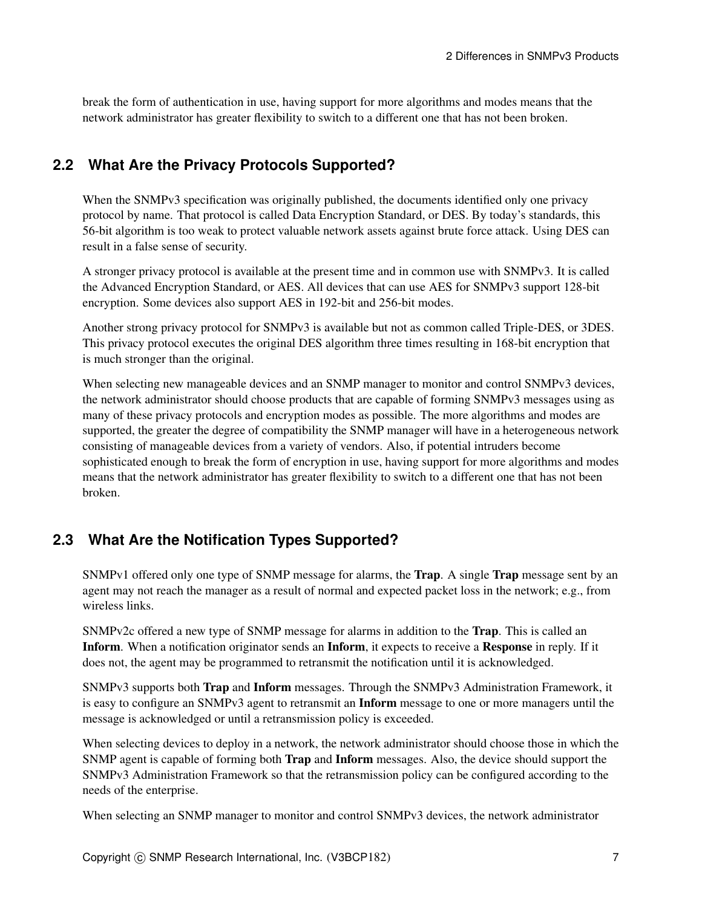break the form of authentication in use, having support for more algorithms and modes means that the network administrator has greater flexibility to switch to a different one that has not been broken.

## <span id="page-6-0"></span>**2.2 What Are the Privacy Protocols Supported?**

When the SNMPv3 specification was originally published, the documents identified only one privacy protocol by name. That protocol is called Data Encryption Standard, or DES. By today's standards, this 56-bit algorithm is too weak to protect valuable network assets against brute force attack. Using DES can result in a false sense of security.

A stronger privacy protocol is available at the present time and in common use with SNMPv3. It is called the Advanced Encryption Standard, or AES. All devices that can use AES for SNMPv3 support 128-bit encryption. Some devices also support AES in 192-bit and 256-bit modes.

Another strong privacy protocol for SNMPv3 is available but not as common called Triple-DES, or 3DES. This privacy protocol executes the original DES algorithm three times resulting in 168-bit encryption that is much stronger than the original.

When selecting new manageable devices and an SNMP manager to monitor and control SNMPv3 devices, the network administrator should choose products that are capable of forming SNMPv3 messages using as many of these privacy protocols and encryption modes as possible. The more algorithms and modes are supported, the greater the degree of compatibility the SNMP manager will have in a heterogeneous network consisting of manageable devices from a variety of vendors. Also, if potential intruders become sophisticated enough to break the form of encryption in use, having support for more algorithms and modes means that the network administrator has greater flexibility to switch to a different one that has not been broken.

## **2.3 What Are the Notification Types Supported?**

SNMPv1 offered only one type of SNMP message for alarms, the Trap. A single Trap message sent by an agent may not reach the manager as a result of normal and expected packet loss in the network; e.g., from wireless links.

SNMPv2c offered a new type of SNMP message for alarms in addition to the Trap. This is called an Inform. When a notification originator sends an Inform, it expects to receive a Response in reply. If it does not, the agent may be programmed to retransmit the notification until it is acknowledged.

SNMPv3 supports both Trap and Inform messages. Through the SNMPv3 Administration Framework, it is easy to configure an SNMPv3 agent to retransmit an **Inform** message to one or more managers until the message is acknowledged or until a retransmission policy is exceeded.

When selecting devices to deploy in a network, the network administrator should choose those in which the SNMP agent is capable of forming both Trap and Inform messages. Also, the device should support the SNMPv3 Administration Framework so that the retransmission policy can be configured according to the needs of the enterprise.

When selecting an SNMP manager to monitor and control SNMPv3 devices, the network administrator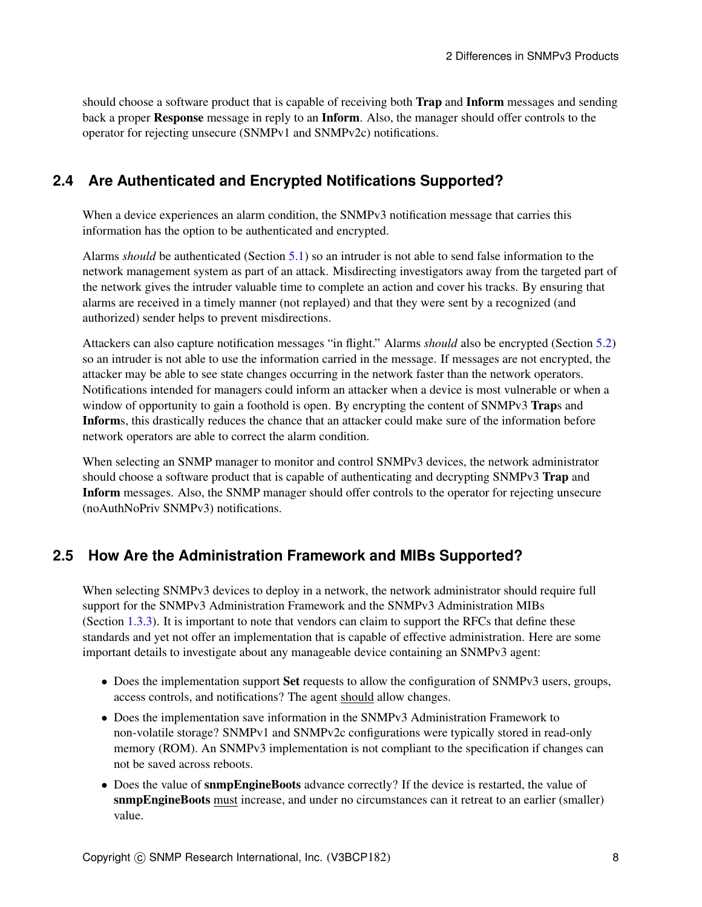should choose a software product that is capable of receiving both Trap and Inform messages and sending back a proper Response message in reply to an Inform. Also, the manager should offer controls to the operator for rejecting unsecure (SNMPv1 and SNMPv2c) notifications.

### <span id="page-7-0"></span>**2.4 Are Authenticated and Encrypted Notifications Supported?**

When a device experiences an alarm condition, the SNMPv3 notification message that carries this information has the option to be authenticated and encrypted.

Alarms *should* be authenticated (Section [5.1\)](#page-14-0) so an intruder is not able to send false information to the network management system as part of an attack. Misdirecting investigators away from the targeted part of the network gives the intruder valuable time to complete an action and cover his tracks. By ensuring that alarms are received in a timely manner (not replayed) and that they were sent by a recognized (and authorized) sender helps to prevent misdirections.

Attackers can also capture notification messages "in flight." Alarms *should* also be encrypted (Section [5.2\)](#page-15-0) so an intruder is not able to use the information carried in the message. If messages are not encrypted, the attacker may be able to see state changes occurring in the network faster than the network operators. Notifications intended for managers could inform an attacker when a device is most vulnerable or when a window of opportunity to gain a foothold is open. By encrypting the content of SNMPv3 Traps and Informs, this drastically reduces the chance that an attacker could make sure of the information before network operators are able to correct the alarm condition.

When selecting an SNMP manager to monitor and control SNMPv3 devices, the network administrator should choose a software product that is capable of authenticating and decrypting SNMPv3 Trap and Inform messages. Also, the SNMP manager should offer controls to the operator for rejecting unsecure (noAuthNoPriv SNMPv3) notifications.

## <span id="page-7-1"></span>**2.5 How Are the Administration Framework and MIBs Supported?**

When selecting SNMPv3 devices to deploy in a network, the network administrator should require full support for the SNMPv3 Administration Framework and the SNMPv3 Administration MIBs (Section [1.3.3\)](#page-4-0). It is important to note that vendors can claim to support the RFCs that define these standards and yet not offer an implementation that is capable of effective administration. Here are some important details to investigate about any manageable device containing an SNMPv3 agent:

- Does the implementation support **Set** requests to allow the configuration of SNMPv3 users, groups, access controls, and notifications? The agent should allow changes.
- Does the implementation save information in the SNMPv3 Administration Framework to non-volatile storage? SNMPv1 and SNMPv2c configurations were typically stored in read-only memory (ROM). An SNMPv3 implementation is not compliant to the specification if changes can not be saved across reboots.
- Does the value of snmpEngineBoots advance correctly? If the device is restarted, the value of snmpEngineBoots must increase, and under no circumstances can it retreat to an earlier (smaller) value.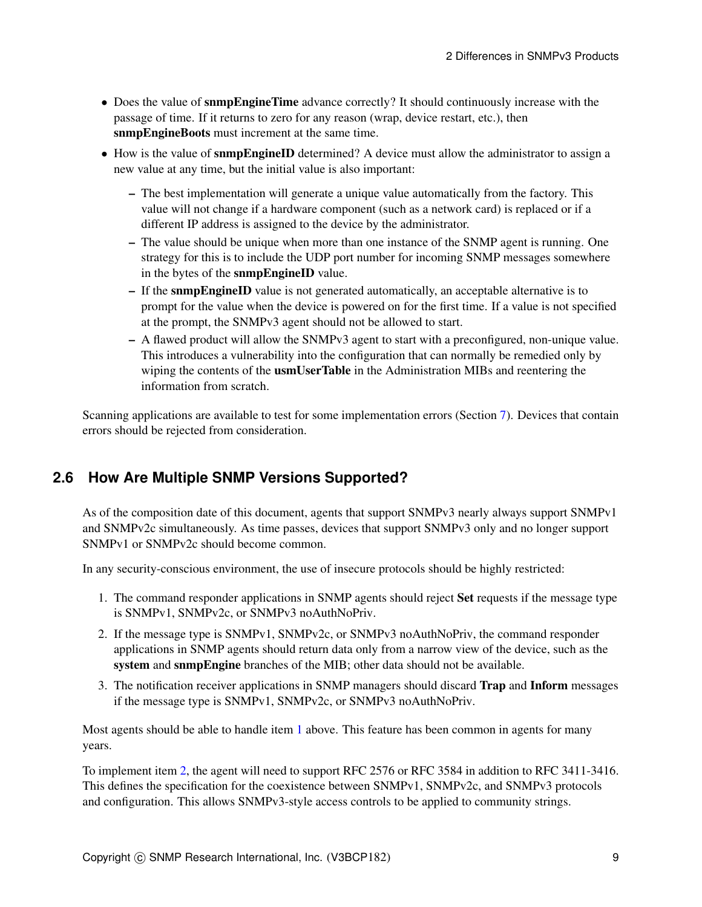- Does the value of snmpEngineTime advance correctly? It should continuously increase with the passage of time. If it returns to zero for any reason (wrap, device restart, etc.), then snmpEngineBoots must increment at the same time.
- How is the value of snmpEngineID determined? A device must allow the administrator to assign a new value at any time, but the initial value is also important:
	- The best implementation will generate a unique value automatically from the factory. This value will not change if a hardware component (such as a network card) is replaced or if a different IP address is assigned to the device by the administrator.
	- The value should be unique when more than one instance of the SNMP agent is running. One strategy for this is to include the UDP port number for incoming SNMP messages somewhere in the bytes of the snmpEngineID value.
	- If the snmpEngineID value is not generated automatically, an acceptable alternative is to prompt for the value when the device is powered on for the first time. If a value is not specified at the prompt, the SNMPv3 agent should not be allowed to start.
	- A flawed product will allow the SNMPv3 agent to start with a preconfigured, non-unique value. This introduces a vulnerability into the configuration that can normally be remedied only by wiping the contents of the **usmUserTable** in the Administration MIBs and reentering the information from scratch.

Scanning applications are available to test for some implementation errors (Section [7\)](#page-21-0). Devices that contain errors should be rejected from consideration.

## <span id="page-8-3"></span>**2.6 How Are Multiple SNMP Versions Supported?**

As of the composition date of this document, agents that support SNMPv3 nearly always support SNMPv1 and SNMPv2c simultaneously. As time passes, devices that support SNMPv3 only and no longer support SNMPv1 or SNMPv2c should become common.

In any security-conscious environment, the use of insecure protocols should be highly restricted:

- <span id="page-8-0"></span>1. The command responder applications in SNMP agents should reject Set requests if the message type is SNMPv1, SNMPv2c, or SNMPv3 noAuthNoPriv.
- <span id="page-8-1"></span>2. If the message type is SNMPv1, SNMPv2c, or SNMPv3 noAuthNoPriv, the command responder applications in SNMP agents should return data only from a narrow view of the device, such as the system and snmpEngine branches of the MIB; other data should not be available.
- <span id="page-8-2"></span>3. The notification receiver applications in SNMP managers should discard Trap and Inform messages if the message type is SNMPv1, SNMPv2c, or SNMPv3 noAuthNoPriv.

Most agents should be able to handle item [1](#page-8-0) above. This feature has been common in agents for many years.

To implement item [2,](#page-8-1) the agent will need to support RFC 2576 or RFC 3584 in addition to RFC 3411-3416. This defines the specification for the coexistence between SNMPv1, SNMPv2c, and SNMPv3 protocols and configuration. This allows SNMPv3-style access controls to be applied to community strings.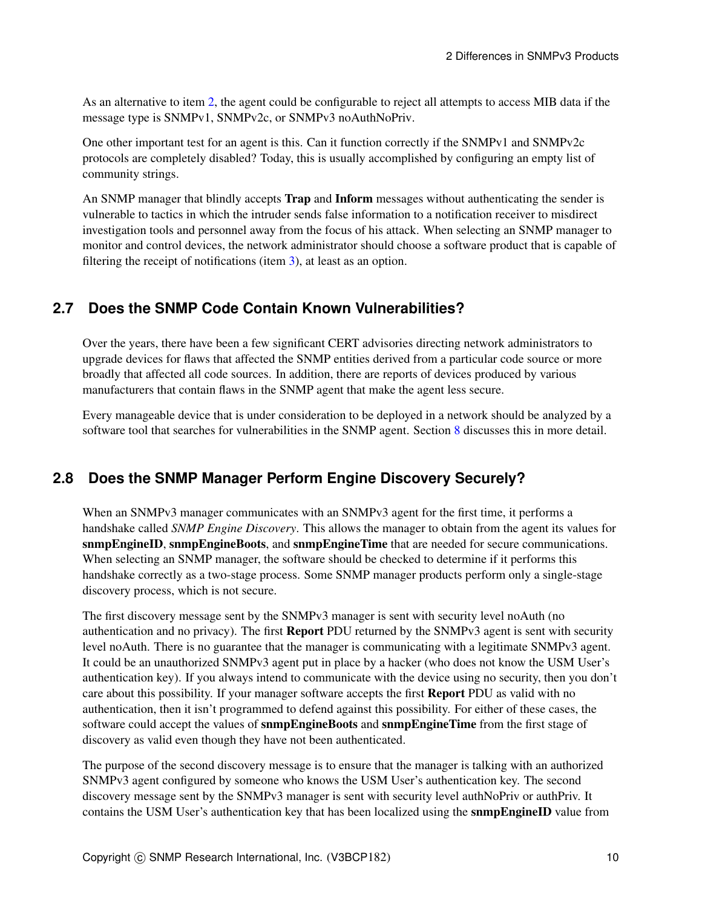As an alternative to item [2,](#page-8-1) the agent could be configurable to reject all attempts to access MIB data if the message type is SNMPv1, SNMPv2c, or SNMPv3 noAuthNoPriv.

One other important test for an agent is this. Can it function correctly if the SNMPv1 and SNMPv2c protocols are completely disabled? Today, this is usually accomplished by configuring an empty list of community strings.

An SNMP manager that blindly accepts **Trap** and **Inform** messages without authenticating the sender is vulnerable to tactics in which the intruder sends false information to a notification receiver to misdirect investigation tools and personnel away from the focus of his attack. When selecting an SNMP manager to monitor and control devices, the network administrator should choose a software product that is capable of filtering the receipt of notifications (item [3\)](#page-8-2), at least as an option.

### **2.7 Does the SNMP Code Contain Known Vulnerabilities?**

Over the years, there have been a few significant CERT advisories directing network administrators to upgrade devices for flaws that affected the SNMP entities derived from a particular code source or more broadly that affected all code sources. In addition, there are reports of devices produced by various manufacturers that contain flaws in the SNMP agent that make the agent less secure.

Every manageable device that is under consideration to be deployed in a network should be analyzed by a software tool that searches for vulnerabilities in the SNMP agent. Section [8](#page-24-0) discusses this in more detail.

## **2.8 Does the SNMP Manager Perform Engine Discovery Securely?**

When an SNMPv3 manager communicates with an SNMPv3 agent for the first time, it performs a handshake called *SNMP Engine Discovery*. This allows the manager to obtain from the agent its values for snmpEngineID, snmpEngineBoots, and snmpEngineTime that are needed for secure communications. When selecting an SNMP manager, the software should be checked to determine if it performs this handshake correctly as a two-stage process. Some SNMP manager products perform only a single-stage discovery process, which is not secure.

The first discovery message sent by the SNMPv3 manager is sent with security level noAuth (no authentication and no privacy). The first Report PDU returned by the SNMPv3 agent is sent with security level noAuth. There is no guarantee that the manager is communicating with a legitimate SNMPv3 agent. It could be an unauthorized SNMPv3 agent put in place by a hacker (who does not know the USM User's authentication key). If you always intend to communicate with the device using no security, then you don't care about this possibility. If your manager software accepts the first Report PDU as valid with no authentication, then it isn't programmed to defend against this possibility. For either of these cases, the software could accept the values of snmpEngineBoots and snmpEngineTime from the first stage of discovery as valid even though they have not been authenticated.

The purpose of the second discovery message is to ensure that the manager is talking with an authorized SNMPv3 agent configured by someone who knows the USM User's authentication key. The second discovery message sent by the SNMPv3 manager is sent with security level authNoPriv or authPriv. It contains the USM User's authentication key that has been localized using the snmpEngineID value from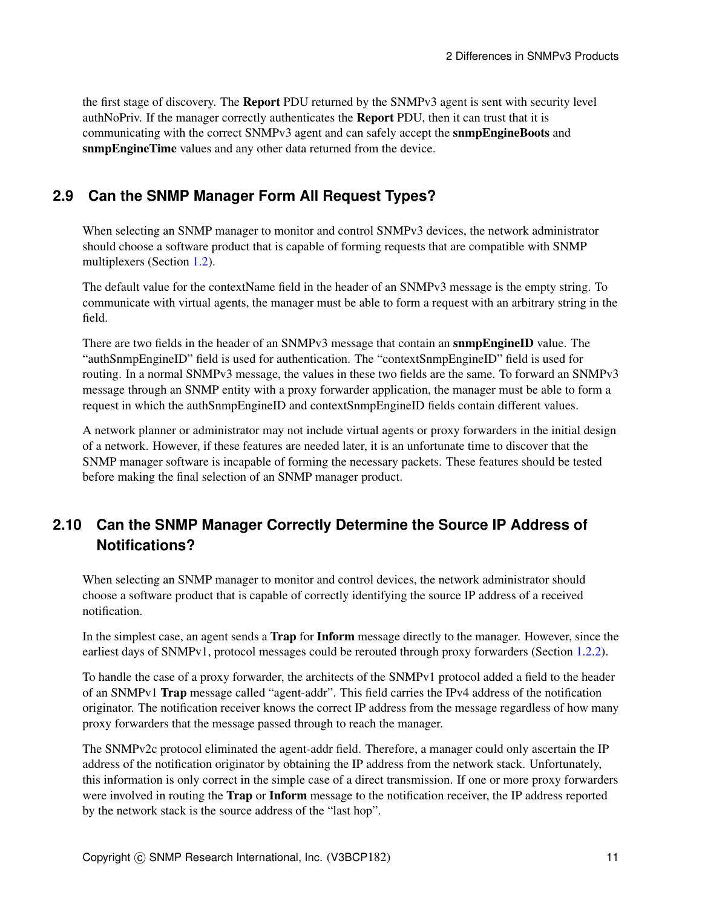the first stage of discovery. The Report PDU returned by the SNMPv3 agent is sent with security level authNoPriv. If the manager correctly authenticates the Report PDU, then it can trust that it is communicating with the correct SNMPv3 agent and can safely accept the snmpEngineBoots and snmpEngineTime values and any other data returned from the device.

### **2.9 Can the SNMP Manager Form All Request Types?**

When selecting an SNMP manager to monitor and control SNMPv3 devices, the network administrator should choose a software product that is capable of forming requests that are compatible with SNMP multiplexers (Section [1.2\)](#page-2-0).

The default value for the contextName field in the header of an SNMPv3 message is the empty string. To communicate with virtual agents, the manager must be able to form a request with an arbitrary string in the field.

There are two fields in the header of an SNMPv3 message that contain an snmpEngineID value. The "authSnmpEngineID" field is used for authentication. The "contextSnmpEngineID" field is used for routing. In a normal SNMPv3 message, the values in these two fields are the same. To forward an SNMPv3 message through an SNMP entity with a proxy forwarder application, the manager must be able to form a request in which the authSnmpEngineID and contextSnmpEngineID fields contain different values.

A network planner or administrator may not include virtual agents or proxy forwarders in the initial design of a network. However, if these features are needed later, it is an unfortunate time to discover that the SNMP manager software is incapable of forming the necessary packets. These features should be tested before making the final selection of an SNMP manager product.

## **2.10 Can the SNMP Manager Correctly Determine the Source IP Address of Notifications?**

When selecting an SNMP manager to monitor and control devices, the network administrator should choose a software product that is capable of correctly identifying the source IP address of a received notification.

In the simplest case, an agent sends a Trap for Inform message directly to the manager. However, since the earliest days of SNMPv1, protocol messages could be rerouted through proxy forwarders (Section [1.2.2\)](#page-2-1).

To handle the case of a proxy forwarder, the architects of the SNMPv1 protocol added a field to the header of an SNMPv1 Trap message called "agent-addr". This field carries the IPv4 address of the notification originator. The notification receiver knows the correct IP address from the message regardless of how many proxy forwarders that the message passed through to reach the manager.

The SNMPv2c protocol eliminated the agent-addr field. Therefore, a manager could only ascertain the IP address of the notification originator by obtaining the IP address from the network stack. Unfortunately, this information is only correct in the simple case of a direct transmission. If one or more proxy forwarders were involved in routing the **Trap** or **Inform** message to the notification receiver, the IP address reported by the network stack is the source address of the "last hop".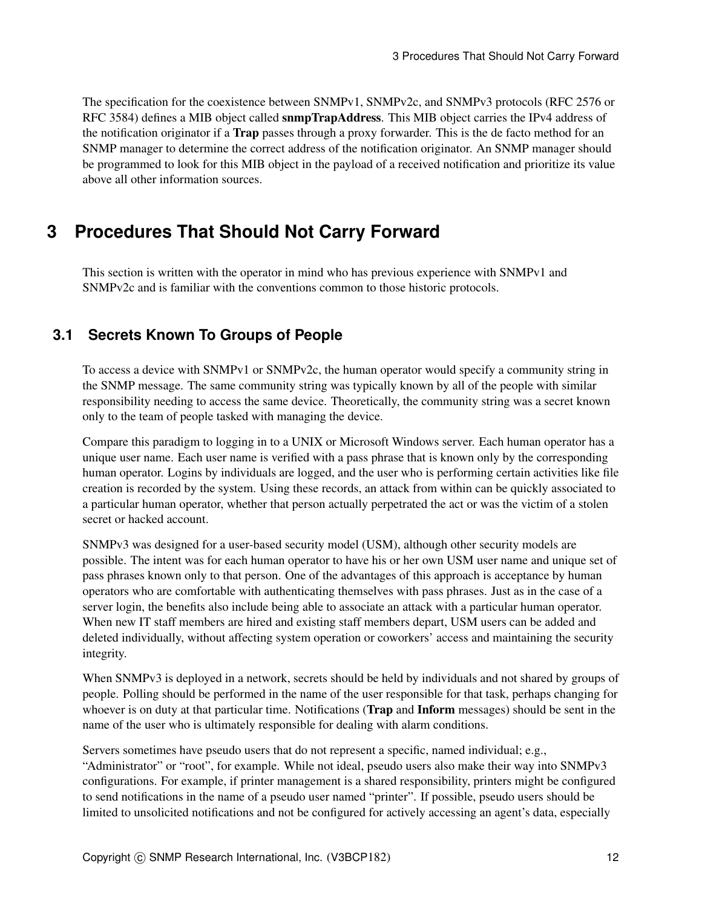The specification for the coexistence between SNMPv1, SNMPv2c, and SNMPv3 protocols (RFC 2576 or RFC 3584) defines a MIB object called snmpTrapAddress. This MIB object carries the IPv4 address of the notification originator if a **Trap** passes through a proxy forwarder. This is the de facto method for an SNMP manager to determine the correct address of the notification originator. An SNMP manager should be programmed to look for this MIB object in the payload of a received notification and prioritize its value above all other information sources.

## <span id="page-11-1"></span>**3 Procedures That Should Not Carry Forward**

This section is written with the operator in mind who has previous experience with SNMPv1 and SNMPv2c and is familiar with the conventions common to those historic protocols.

## <span id="page-11-0"></span>**3.1 Secrets Known To Groups of People**

To access a device with SNMPv1 or SNMPv2c, the human operator would specify a community string in the SNMP message. The same community string was typically known by all of the people with similar responsibility needing to access the same device. Theoretically, the community string was a secret known only to the team of people tasked with managing the device.

Compare this paradigm to logging in to a UNIX or Microsoft Windows server. Each human operator has a unique user name. Each user name is verified with a pass phrase that is known only by the corresponding human operator. Logins by individuals are logged, and the user who is performing certain activities like file creation is recorded by the system. Using these records, an attack from within can be quickly associated to a particular human operator, whether that person actually perpetrated the act or was the victim of a stolen secret or hacked account.

SNMPv3 was designed for a user-based security model (USM), although other security models are possible. The intent was for each human operator to have his or her own USM user name and unique set of pass phrases known only to that person. One of the advantages of this approach is acceptance by human operators who are comfortable with authenticating themselves with pass phrases. Just as in the case of a server login, the benefits also include being able to associate an attack with a particular human operator. When new IT staff members are hired and existing staff members depart, USM users can be added and deleted individually, without affecting system operation or coworkers' access and maintaining the security integrity.

When SNMPv3 is deployed in a network, secrets should be held by individuals and not shared by groups of people. Polling should be performed in the name of the user responsible for that task, perhaps changing for whoever is on duty at that particular time. Notifications (**Trap** and **Inform** messages) should be sent in the name of the user who is ultimately responsible for dealing with alarm conditions.

Servers sometimes have pseudo users that do not represent a specific, named individual; e.g., "Administrator" or "root", for example. While not ideal, pseudo users also make their way into SNMPv3 configurations. For example, if printer management is a shared responsibility, printers might be configured to send notifications in the name of a pseudo user named "printer". If possible, pseudo users should be limited to unsolicited notifications and not be configured for actively accessing an agent's data, especially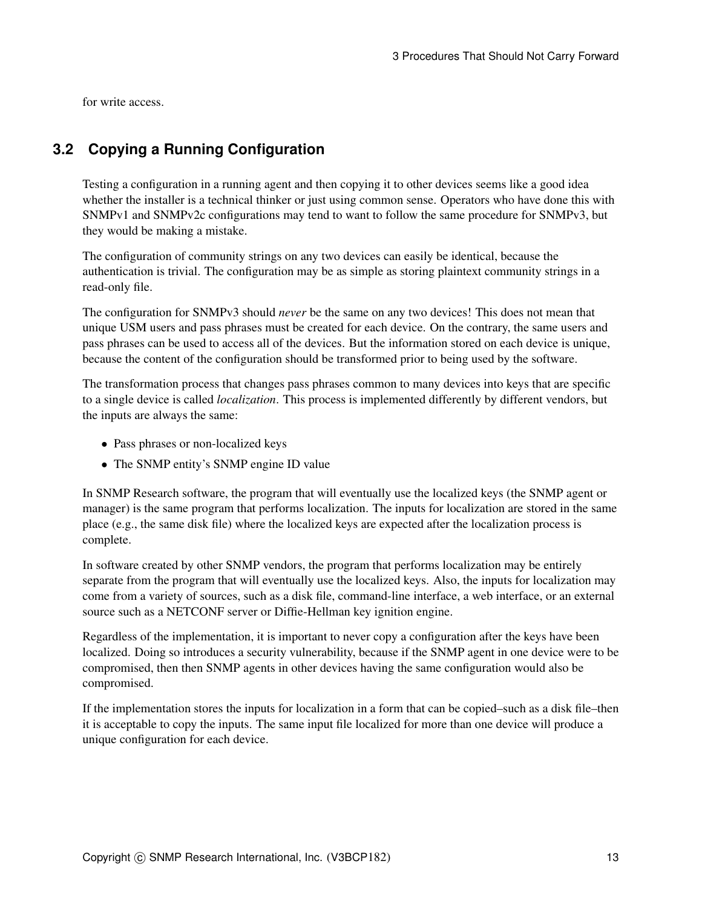<span id="page-12-0"></span>for write access.

## **3.2 Copying a Running Configuration**

Testing a configuration in a running agent and then copying it to other devices seems like a good idea whether the installer is a technical thinker or just using common sense. Operators who have done this with SNMPv1 and SNMPv2c configurations may tend to want to follow the same procedure for SNMPv3, but they would be making a mistake.

The configuration of community strings on any two devices can easily be identical, because the authentication is trivial. The configuration may be as simple as storing plaintext community strings in a read-only file.

The configuration for SNMPv3 should *never* be the same on any two devices! This does not mean that unique USM users and pass phrases must be created for each device. On the contrary, the same users and pass phrases can be used to access all of the devices. But the information stored on each device is unique, because the content of the configuration should be transformed prior to being used by the software.

The transformation process that changes pass phrases common to many devices into keys that are specific to a single device is called *localization*. This process is implemented differently by different vendors, but the inputs are always the same:

- Pass phrases or non-localized keys
- The SNMP entity's SNMP engine ID value

In SNMP Research software, the program that will eventually use the localized keys (the SNMP agent or manager) is the same program that performs localization. The inputs for localization are stored in the same place (e.g., the same disk file) where the localized keys are expected after the localization process is complete.

In software created by other SNMP vendors, the program that performs localization may be entirely separate from the program that will eventually use the localized keys. Also, the inputs for localization may come from a variety of sources, such as a disk file, command-line interface, a web interface, or an external source such as a NETCONF server or Diffie-Hellman key ignition engine.

Regardless of the implementation, it is important to never copy a configuration after the keys have been localized. Doing so introduces a security vulnerability, because if the SNMP agent in one device were to be compromised, then then SNMP agents in other devices having the same configuration would also be compromised.

If the implementation stores the inputs for localization in a form that can be copied–such as a disk file–then it is acceptable to copy the inputs. The same input file localized for more than one device will produce a unique configuration for each device.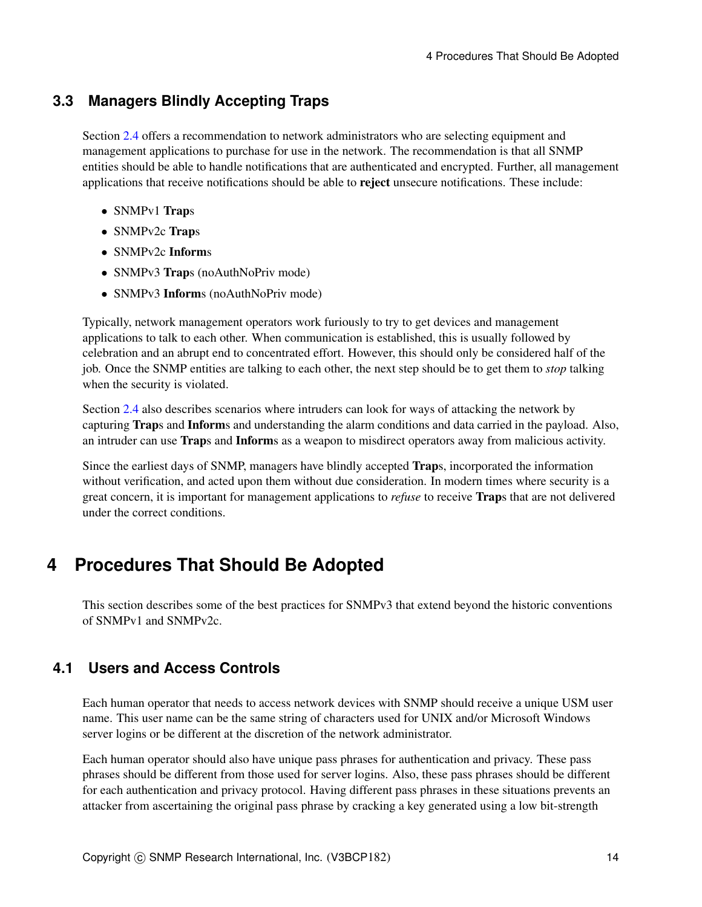### **3.3 Managers Blindly Accepting Traps**

Section [2.4](#page-7-0) offers a recommendation to network administrators who are selecting equipment and management applications to purchase for use in the network. The recommendation is that all SNMP entities should be able to handle notifications that are authenticated and encrypted. Further, all management applications that receive notifications should be able to reject unsecure notifications. These include:

- SNMPv1 Traps
- SNMPv2c Traps
- SNMPv2c Informs
- SNMPv3 Traps (noAuthNoPriv mode)
- SNMPv3 Informs (noAuthNoPriv mode)

Typically, network management operators work furiously to try to get devices and management applications to talk to each other. When communication is established, this is usually followed by celebration and an abrupt end to concentrated effort. However, this should only be considered half of the job. Once the SNMP entities are talking to each other, the next step should be to get them to *stop* talking when the security is violated.

Section [2.4](#page-7-0) also describes scenarios where intruders can look for ways of attacking the network by capturing Traps and Informs and understanding the alarm conditions and data carried in the payload. Also, an intruder can use Traps and Informs as a weapon to misdirect operators away from malicious activity.

Since the earliest days of SNMP, managers have blindly accepted Traps, incorporated the information without verification, and acted upon them without due consideration. In modern times where security is a great concern, it is important for management applications to *refuse* to receive Traps that are not delivered under the correct conditions.

## <span id="page-13-0"></span>**4 Procedures That Should Be Adopted**

This section describes some of the best practices for SNMPv3 that extend beyond the historic conventions of SNMPv1 and SNMPv2c.

## **4.1 Users and Access Controls**

Each human operator that needs to access network devices with SNMP should receive a unique USM user name. This user name can be the same string of characters used for UNIX and/or Microsoft Windows server logins or be different at the discretion of the network administrator.

Each human operator should also have unique pass phrases for authentication and privacy. These pass phrases should be different from those used for server logins. Also, these pass phrases should be different for each authentication and privacy protocol. Having different pass phrases in these situations prevents an attacker from ascertaining the original pass phrase by cracking a key generated using a low bit-strength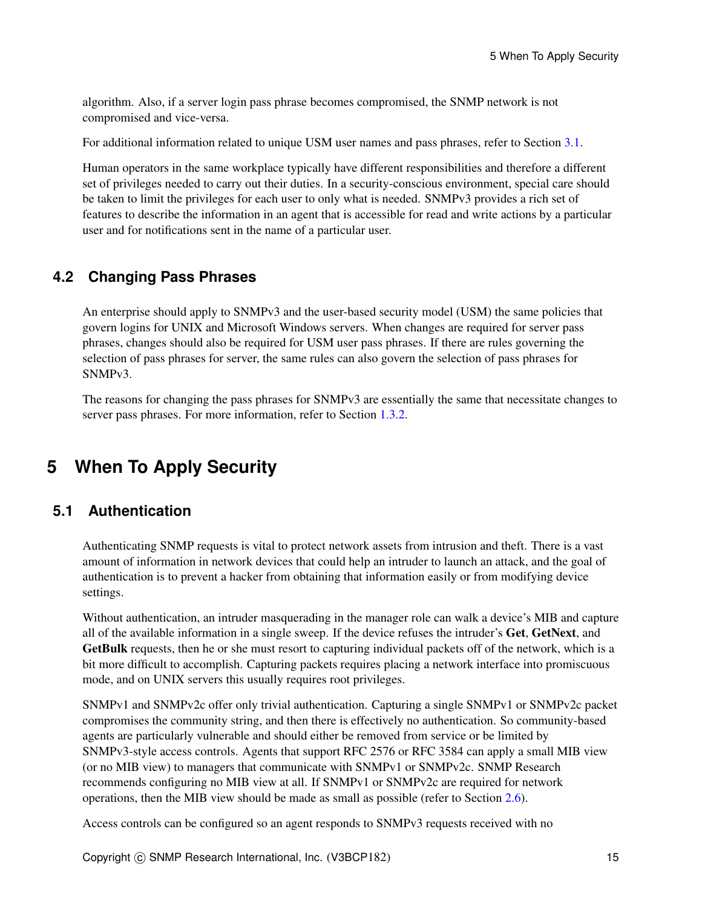algorithm. Also, if a server login pass phrase becomes compromised, the SNMP network is not compromised and vice-versa.

For additional information related to unique USM user names and pass phrases, refer to Section [3.1.](#page-11-0)

Human operators in the same workplace typically have different responsibilities and therefore a different set of privileges needed to carry out their duties. In a security-conscious environment, special care should be taken to limit the privileges for each user to only what is needed. SNMPv3 provides a rich set of features to describe the information in an agent that is accessible for read and write actions by a particular user and for notifications sent in the name of a particular user.

### **4.2 Changing Pass Phrases**

An enterprise should apply to SNMPv3 and the user-based security model (USM) the same policies that govern logins for UNIX and Microsoft Windows servers. When changes are required for server pass phrases, changes should also be required for USM user pass phrases. If there are rules governing the selection of pass phrases for server, the same rules can also govern the selection of pass phrases for SNMPv3.

The reasons for changing the pass phrases for SNMPv3 are essentially the same that necessitate changes to server pass phrases. For more information, refer to Section [1.3.2.](#page-3-0)

## **5 When To Apply Security**

### <span id="page-14-0"></span>**5.1 Authentication**

Authenticating SNMP requests is vital to protect network assets from intrusion and theft. There is a vast amount of information in network devices that could help an intruder to launch an attack, and the goal of authentication is to prevent a hacker from obtaining that information easily or from modifying device settings.

Without authentication, an intruder masquerading in the manager role can walk a device's MIB and capture all of the available information in a single sweep. If the device refuses the intruder's Get, GetNext, and GetBulk requests, then he or she must resort to capturing individual packets off of the network, which is a bit more difficult to accomplish. Capturing packets requires placing a network interface into promiscuous mode, and on UNIX servers this usually requires root privileges.

SNMPv1 and SNMPv2c offer only trivial authentication. Capturing a single SNMPv1 or SNMPv2c packet compromises the community string, and then there is effectively no authentication. So community-based agents are particularly vulnerable and should either be removed from service or be limited by SNMPv3-style access controls. Agents that support RFC 2576 or RFC 3584 can apply a small MIB view (or no MIB view) to managers that communicate with SNMPv1 or SNMPv2c. SNMP Research recommends configuring no MIB view at all. If SNMPv1 or SNMPv2c are required for network operations, then the MIB view should be made as small as possible (refer to Section [2.6\)](#page-8-3).

Access controls can be configured so an agent responds to SNMPv3 requests received with no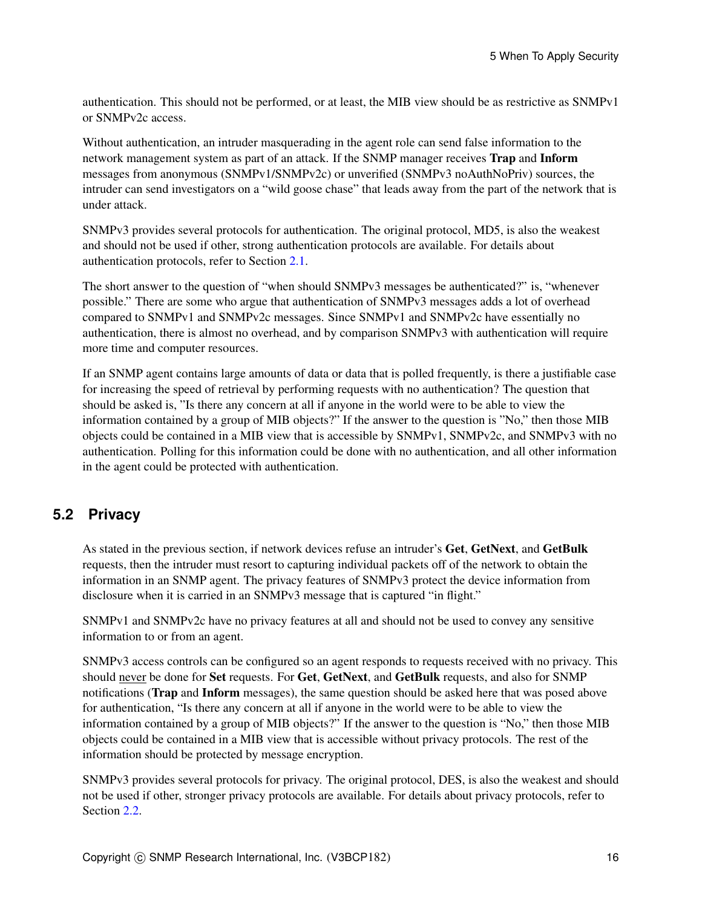authentication. This should not be performed, or at least, the MIB view should be as restrictive as SNMPv1 or SNMPv2c access.

Without authentication, an intruder masquerading in the agent role can send false information to the network management system as part of an attack. If the SNMP manager receives Trap and Inform messages from anonymous (SNMPv1/SNMPv2c) or unverified (SNMPv3 noAuthNoPriv) sources, the intruder can send investigators on a "wild goose chase" that leads away from the part of the network that is under attack.

SNMPv3 provides several protocols for authentication. The original protocol, MD5, is also the weakest and should not be used if other, strong authentication protocols are available. For details about authentication protocols, refer to Section [2.1.](#page-5-1)

The short answer to the question of "when should SNMPv3 messages be authenticated?" is, "whenever possible." There are some who argue that authentication of SNMPv3 messages adds a lot of overhead compared to SNMPv1 and SNMPv2c messages. Since SNMPv1 and SNMPv2c have essentially no authentication, there is almost no overhead, and by comparison SNMPv3 with authentication will require more time and computer resources.

If an SNMP agent contains large amounts of data or data that is polled frequently, is there a justifiable case for increasing the speed of retrieval by performing requests with no authentication? The question that should be asked is, "Is there any concern at all if anyone in the world were to be able to view the information contained by a group of MIB objects?" If the answer to the question is "No," then those MIB objects could be contained in a MIB view that is accessible by SNMPv1, SNMPv2c, and SNMPv3 with no authentication. Polling for this information could be done with no authentication, and all other information in the agent could be protected with authentication.

## <span id="page-15-0"></span>**5.2 Privacy**

As stated in the previous section, if network devices refuse an intruder's Get, GetNext, and GetBulk requests, then the intruder must resort to capturing individual packets off of the network to obtain the information in an SNMP agent. The privacy features of SNMPv3 protect the device information from disclosure when it is carried in an SNMPv3 message that is captured "in flight."

SNMPv1 and SNMPv2c have no privacy features at all and should not be used to convey any sensitive information to or from an agent.

SNMPv3 access controls can be configured so an agent responds to requests received with no privacy. This should never be done for Set requests. For Get, GetNext, and GetBulk requests, and also for SNMP notifications (Trap and Inform messages), the same question should be asked here that was posed above for authentication, "Is there any concern at all if anyone in the world were to be able to view the information contained by a group of MIB objects?" If the answer to the question is "No," then those MIB objects could be contained in a MIB view that is accessible without privacy protocols. The rest of the information should be protected by message encryption.

SNMPv3 provides several protocols for privacy. The original protocol, DES, is also the weakest and should not be used if other, stronger privacy protocols are available. For details about privacy protocols, refer to Section [2.2.](#page-6-0)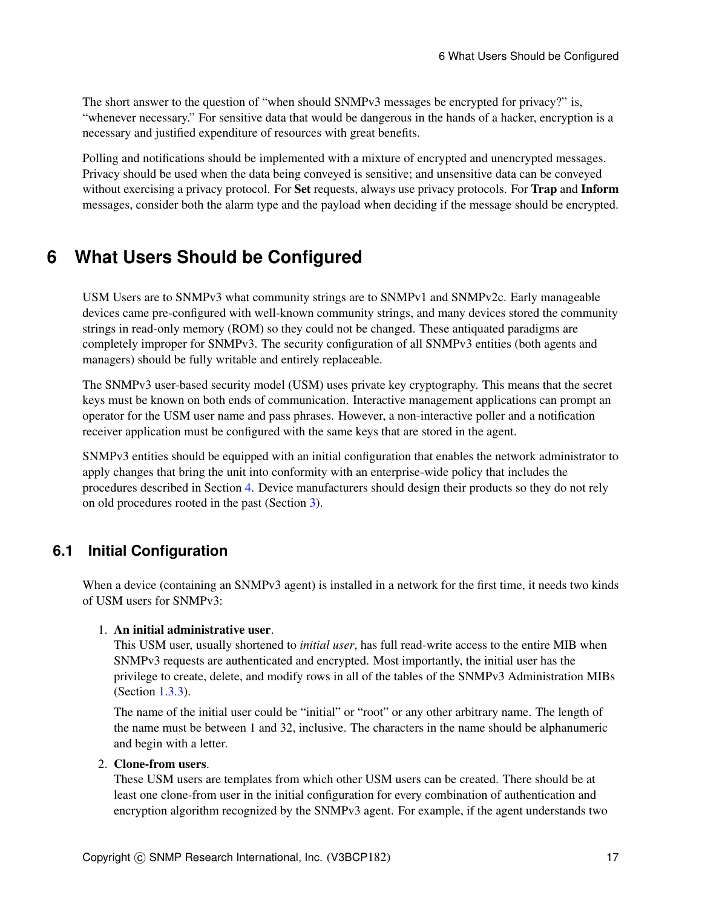The short answer to the question of "when should SNMPv3 messages be encrypted for privacy?" is, "whenever necessary." For sensitive data that would be dangerous in the hands of a hacker, encryption is a necessary and justified expenditure of resources with great benefits.

Polling and notifications should be implemented with a mixture of encrypted and unencrypted messages. Privacy should be used when the data being conveyed is sensitive; and unsensitive data can be conveyed without exercising a privacy protocol. For Set requests, always use privacy protocols. For Trap and Inform messages, consider both the alarm type and the payload when deciding if the message should be encrypted.

## **6 What Users Should be Configured**

USM Users are to SNMPv3 what community strings are to SNMPv1 and SNMPv2c. Early manageable devices came pre-configured with well-known community strings, and many devices stored the community strings in read-only memory (ROM) so they could not be changed. These antiquated paradigms are completely improper for SNMPv3. The security configuration of all SNMPv3 entities (both agents and managers) should be fully writable and entirely replaceable.

The SNMPv3 user-based security model (USM) uses private key cryptography. This means that the secret keys must be known on both ends of communication. Interactive management applications can prompt an operator for the USM user name and pass phrases. However, a non-interactive poller and a notification receiver application must be configured with the same keys that are stored in the agent.

SNMPv3 entities should be equipped with an initial configuration that enables the network administrator to apply changes that bring the unit into conformity with an enterprise-wide policy that includes the procedures described in Section [4.](#page-13-0) Device manufacturers should design their products so they do not rely on old procedures rooted in the past (Section [3\)](#page-11-1).

## <span id="page-16-0"></span>**6.1 Initial Configuration**

When a device (containing an SNMPv3 agent) is installed in a network for the first time, it needs two kinds of USM users for SNMPv3:

### 1. An initial administrative user.

This USM user, usually shortened to *initial user*, has full read-write access to the entire MIB when SNMPv3 requests are authenticated and encrypted. Most importantly, the initial user has the privilege to create, delete, and modify rows in all of the tables of the SNMPv3 Administration MIBs (Section [1.3.3\)](#page-4-0).

The name of the initial user could be "initial" or "root" or any other arbitrary name. The length of the name must be between 1 and 32, inclusive. The characters in the name should be alphanumeric and begin with a letter.

#### 2. Clone-from users.

These USM users are templates from which other USM users can be created. There should be at least one clone-from user in the initial configuration for every combination of authentication and encryption algorithm recognized by the SNMPv3 agent. For example, if the agent understands two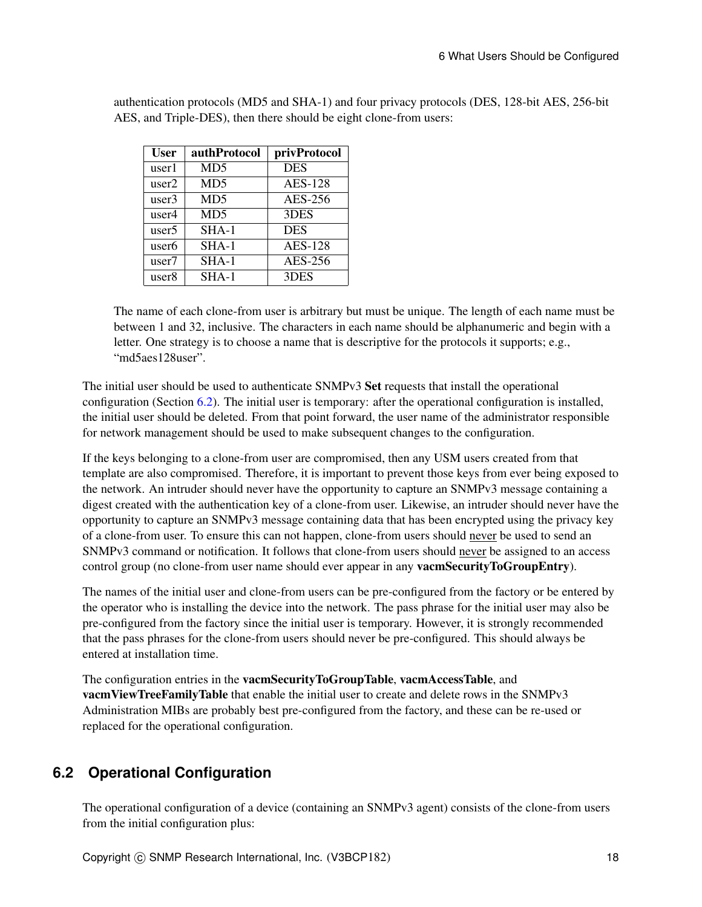| User              | authProtocol    | privProtocol   |
|-------------------|-----------------|----------------|
| user1             | MD <sub>5</sub> | <b>DES</b>     |
| user2             | MD <sub>5</sub> | <b>AES-128</b> |
| user3             | MD <sub>5</sub> | AES-256        |
| user4             | MD <sub>5</sub> | 3DES           |
| user <sub>5</sub> | $SHA-1$         | <b>DES</b>     |
| user6             | $SHA-1$         | <b>AES-128</b> |
| user7             | $SHA-1$         | AES-256        |
| user8             | $SHA-1$         | 3DES           |

authentication protocols (MD5 and SHA-1) and four privacy protocols (DES, 128-bit AES, 256-bit AES, and Triple-DES), then there should be eight clone-from users:

The name of each clone-from user is arbitrary but must be unique. The length of each name must be between 1 and 32, inclusive. The characters in each name should be alphanumeric and begin with a letter. One strategy is to choose a name that is descriptive for the protocols it supports; e.g., "md5aes128user".

The initial user should be used to authenticate SNMPv3 Set requests that install the operational configuration (Section [6.2\)](#page-17-0). The initial user is temporary: after the operational configuration is installed, the initial user should be deleted. From that point forward, the user name of the administrator responsible for network management should be used to make subsequent changes to the configuration.

If the keys belonging to a clone-from user are compromised, then any USM users created from that template are also compromised. Therefore, it is important to prevent those keys from ever being exposed to the network. An intruder should never have the opportunity to capture an SNMPv3 message containing a digest created with the authentication key of a clone-from user. Likewise, an intruder should never have the opportunity to capture an SNMPv3 message containing data that has been encrypted using the privacy key of a clone-from user. To ensure this can not happen, clone-from users should never be used to send an SNMPv3 command or notification. It follows that clone-from users should never be assigned to an access control group (no clone-from user name should ever appear in any vacmSecurityToGroupEntry).

The names of the initial user and clone-from users can be pre-configured from the factory or be entered by the operator who is installing the device into the network. The pass phrase for the initial user may also be pre-configured from the factory since the initial user is temporary. However, it is strongly recommended that the pass phrases for the clone-from users should never be pre-configured. This should always be entered at installation time.

The configuration entries in the vacmSecurityToGroupTable, vacmAccessTable, and vacmViewTreeFamilyTable that enable the initial user to create and delete rows in the SNMPv3 Administration MIBs are probably best pre-configured from the factory, and these can be re-used or replaced for the operational configuration.

## <span id="page-17-0"></span>**6.2 Operational Configuration**

The operational configuration of a device (containing an SNMPv3 agent) consists of the clone-from users from the initial configuration plus: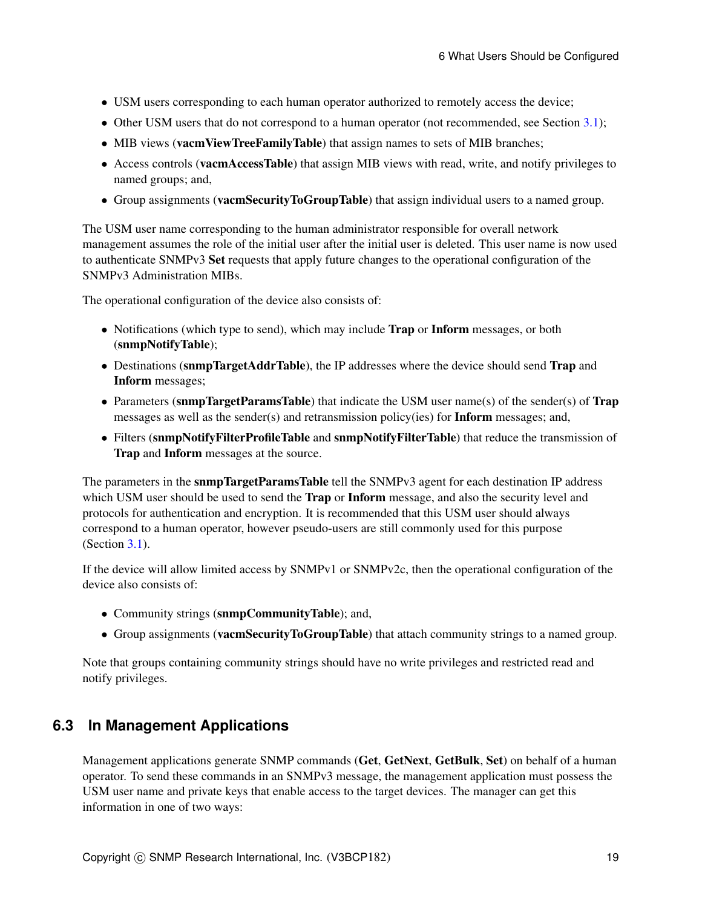- USM users corresponding to each human operator authorized to remotely access the device;
- Other USM users that do not correspond to a human operator (not recommended, see Section [3.1\)](#page-11-0);
- MIB views (vacmViewTreeFamilyTable) that assign names to sets of MIB branches;
- Access controls (vacmAccessTable) that assign MIB views with read, write, and notify privileges to named groups; and,
- Group assignments (vacmSecurityToGroupTable) that assign individual users to a named group.

The USM user name corresponding to the human administrator responsible for overall network management assumes the role of the initial user after the initial user is deleted. This user name is now used to authenticate SNMPv3 Set requests that apply future changes to the operational configuration of the SNMPv3 Administration MIBs.

The operational configuration of the device also consists of:

- Notifications (which type to send), which may include **Trap** or **Inform** messages, or both (snmpNotifyTable);
- Destinations (snmpTargetAddrTable), the IP addresses where the device should send Trap and Inform messages;
- Parameters (snmpTargetParamsTable) that indicate the USM user name(s) of the sender(s) of Trap messages as well as the sender(s) and retransmission policy(ies) for **Inform** messages; and,
- Filters (snmpNotifyFilterProfileTable and snmpNotifyFilterTable) that reduce the transmission of Trap and Inform messages at the source.

The parameters in the **snmpTargetParamsTable** tell the SNMPv3 agent for each destination IP address which USM user should be used to send the Trap or Inform message, and also the security level and protocols for authentication and encryption. It is recommended that this USM user should always correspond to a human operator, however pseudo-users are still commonly used for this purpose (Section [3.1\)](#page-11-0).

If the device will allow limited access by SNMPv1 or SNMPv2c, then the operational configuration of the device also consists of:

- Community strings (snmpCommunityTable); and,
- Group assignments (**vacmSecurityToGroupTable**) that attach community strings to a named group.

Note that groups containing community strings should have no write privileges and restricted read and notify privileges.

### <span id="page-18-0"></span>**6.3 In Management Applications**

Management applications generate SNMP commands (Get, GetNext, GetBulk, Set) on behalf of a human operator. To send these commands in an SNMPv3 message, the management application must possess the USM user name and private keys that enable access to the target devices. The manager can get this information in one of two ways: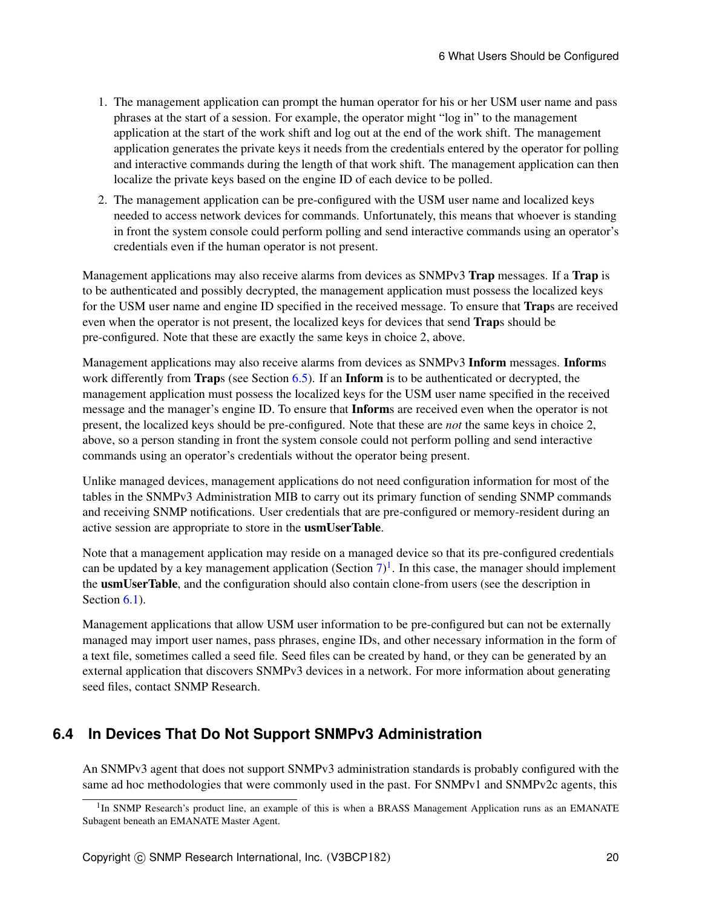- 1. The management application can prompt the human operator for his or her USM user name and pass phrases at the start of a session. For example, the operator might "log in" to the management application at the start of the work shift and log out at the end of the work shift. The management application generates the private keys it needs from the credentials entered by the operator for polling and interactive commands during the length of that work shift. The management application can then localize the private keys based on the engine ID of each device to be polled.
- 2. The management application can be pre-configured with the USM user name and localized keys needed to access network devices for commands. Unfortunately, this means that whoever is standing in front the system console could perform polling and send interactive commands using an operator's credentials even if the human operator is not present.

Management applications may also receive alarms from devices as SNMPv3 Trap messages. If a Trap is to be authenticated and possibly decrypted, the management application must possess the localized keys for the USM user name and engine ID specified in the received message. To ensure that Traps are received even when the operator is not present, the localized keys for devices that send Traps should be pre-configured. Note that these are exactly the same keys in choice 2, above.

Management applications may also receive alarms from devices as SNMPv3 **Inform** messages. **Informs** work differently from **Traps** (see Section [6.5\)](#page-20-0). If an **Inform** is to be authenticated or decrypted, the management application must possess the localized keys for the USM user name specified in the received message and the manager's engine ID. To ensure that Informs are received even when the operator is not present, the localized keys should be pre-configured. Note that these are *not* the same keys in choice 2, above, so a person standing in front the system console could not perform polling and send interactive commands using an operator's credentials without the operator being present.

Unlike managed devices, management applications do not need configuration information for most of the tables in the SNMPv3 Administration MIB to carry out its primary function of sending SNMP commands and receiving SNMP notifications. User credentials that are pre-configured or memory-resident during an active session are appropriate to store in the usmUserTable.

Note that a management application may reside on a managed device so that its pre-configured credentials can be updated by a key management application (Section  $7)^1$  $7)^1$  $7)^1$ . In this case, the manager should implement the usmUserTable, and the configuration should also contain clone-from users (see the description in Section [6.1\)](#page-16-0).

Management applications that allow USM user information to be pre-configured but can not be externally managed may import user names, pass phrases, engine IDs, and other necessary information in the form of a text file, sometimes called a seed file. Seed files can be created by hand, or they can be generated by an external application that discovers SNMPv3 devices in a network. For more information about generating seed files, contact SNMP Research.

## **6.4 In Devices That Do Not Support SNMPv3 Administration**

An SNMPv3 agent that does not support SNMPv3 administration standards is probably configured with the same ad hoc methodologies that were commonly used in the past. For SNMPv1 and SNMPv2c agents, this

<span id="page-19-0"></span><sup>&</sup>lt;sup>1</sup>In SNMP Research's product line, an example of this is when a BRASS Management Application runs as an EMANATE Subagent beneath an EMANATE Master Agent.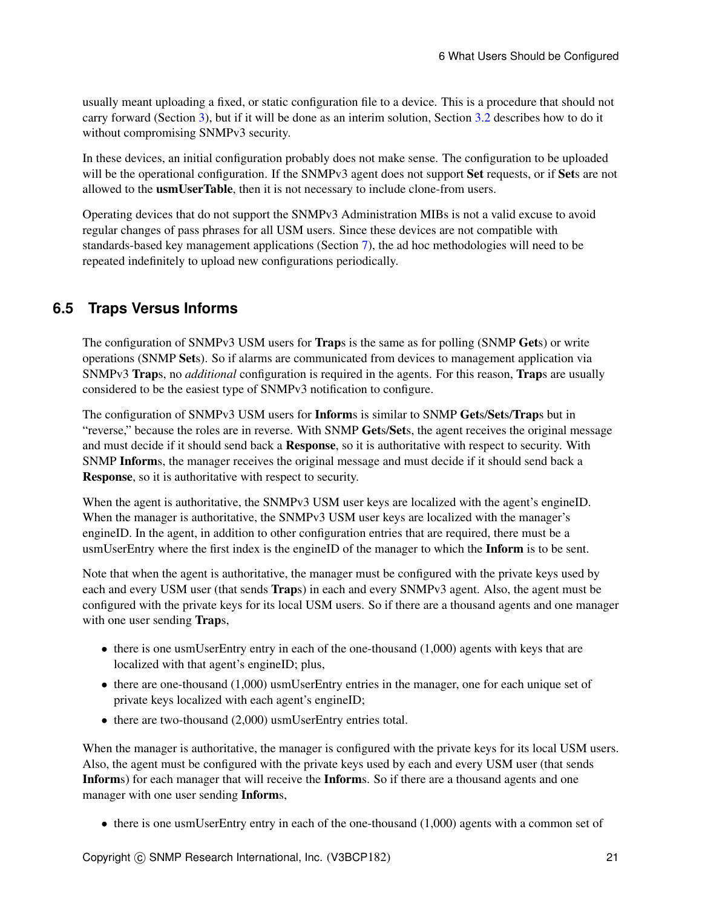usually meant uploading a fixed, or static configuration file to a device. This is a procedure that should not carry forward (Section [3\)](#page-11-1), but if it will be done as an interim solution, Section [3.2](#page-12-0) describes how to do it without compromising SNMPv3 security.

In these devices, an initial configuration probably does not make sense. The configuration to be uploaded will be the operational configuration. If the SNMPv3 agent does not support **Set** requests, or if **Set**s are not allowed to the usmUserTable, then it is not necessary to include clone-from users.

Operating devices that do not support the SNMPv3 Administration MIBs is not a valid excuse to avoid regular changes of pass phrases for all USM users. Since these devices are not compatible with standards-based key management applications (Section [7\)](#page-21-0), the ad hoc methodologies will need to be repeated indefinitely to upload new configurations periodically.

## <span id="page-20-0"></span>**6.5 Traps Versus Informs**

The configuration of SNMPv3 USM users for Traps is the same as for polling (SNMP Gets) or write operations (SNMP Sets). So if alarms are communicated from devices to management application via SNMPv3 Traps, no *additional* configuration is required in the agents. For this reason, Traps are usually considered to be the easiest type of SNMPv3 notification to configure.

The configuration of SNMPv3 USM users for Informs is similar to SNMP Gets/Sets/Traps but in "reverse," because the roles are in reverse. With SNMP Gets/Sets, the agent receives the original message and must decide if it should send back a Response, so it is authoritative with respect to security. With SNMP Informs, the manager receives the original message and must decide if it should send back a Response, so it is authoritative with respect to security.

When the agent is authoritative, the SNMPv3 USM user keys are localized with the agent's engineID. When the manager is authoritative, the SNMPv3 USM user keys are localized with the manager's engineID. In the agent, in addition to other configuration entries that are required, there must be a usmUserEntry where the first index is the engineID of the manager to which the Inform is to be sent.

Note that when the agent is authoritative, the manager must be configured with the private keys used by each and every USM user (that sends Traps) in each and every SNMPv3 agent. Also, the agent must be configured with the private keys for its local USM users. So if there are a thousand agents and one manager with one user sending **Traps**,

- there is one usmUserEntry entry in each of the one-thousand (1,000) agents with keys that are localized with that agent's engineID; plus,
- there are one-thousand (1,000) usmUserEntry entries in the manager, one for each unique set of private keys localized with each agent's engineID;
- there are two-thousand (2,000) usmUserEntry entries total.

When the manager is authoritative, the manager is configured with the private keys for its local USM users. Also, the agent must be configured with the private keys used by each and every USM user (that sends Informs) for each manager that will receive the Informs. So if there are a thousand agents and one manager with one user sending Informs,

• there is one usmUserEntry entry in each of the one-thousand (1,000) agents with a common set of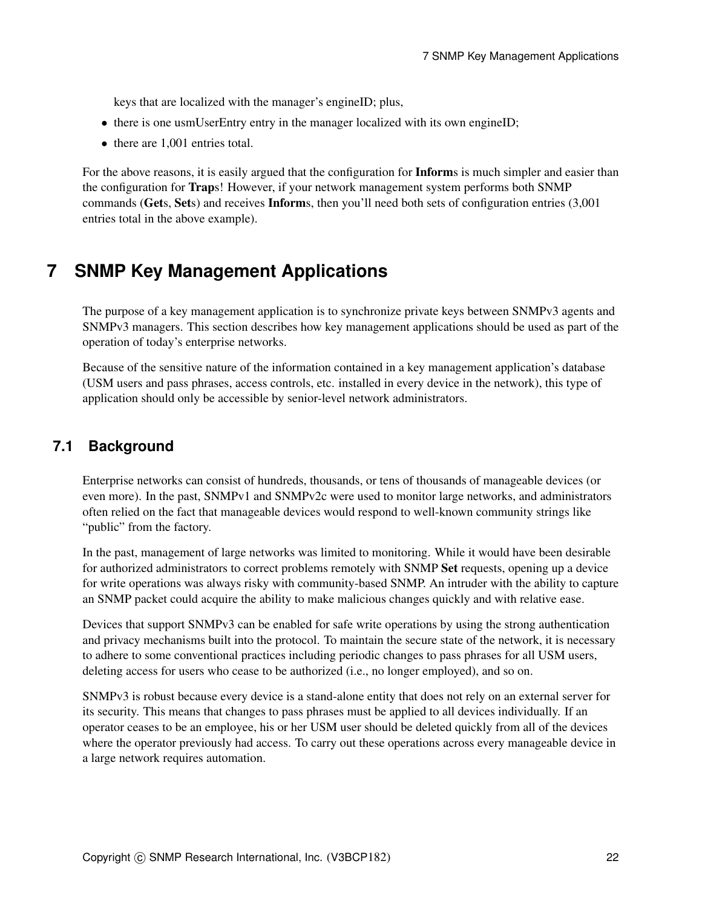keys that are localized with the manager's engineID; plus,

- there is one usmUserEntry entry in the manager localized with its own engineID;
- there are 1,001 entries total.

For the above reasons, it is easily argued that the configuration for **Inform**s is much simpler and easier than the configuration for Traps! However, if your network management system performs both SNMP commands (Gets, Sets) and receives Informs, then you'll need both sets of configuration entries (3,001 entries total in the above example).

## <span id="page-21-0"></span>**7 SNMP Key Management Applications**

The purpose of a key management application is to synchronize private keys between SNMPv3 agents and SNMPv3 managers. This section describes how key management applications should be used as part of the operation of today's enterprise networks.

Because of the sensitive nature of the information contained in a key management application's database (USM users and pass phrases, access controls, etc. installed in every device in the network), this type of application should only be accessible by senior-level network administrators.

### **7.1 Background**

Enterprise networks can consist of hundreds, thousands, or tens of thousands of manageable devices (or even more). In the past, SNMPv1 and SNMPv2c were used to monitor large networks, and administrators often relied on the fact that manageable devices would respond to well-known community strings like "public" from the factory.

In the past, management of large networks was limited to monitoring. While it would have been desirable for authorized administrators to correct problems remotely with SNMP Set requests, opening up a device for write operations was always risky with community-based SNMP. An intruder with the ability to capture an SNMP packet could acquire the ability to make malicious changes quickly and with relative ease.

Devices that support SNMPv3 can be enabled for safe write operations by using the strong authentication and privacy mechanisms built into the protocol. To maintain the secure state of the network, it is necessary to adhere to some conventional practices including periodic changes to pass phrases for all USM users, deleting access for users who cease to be authorized (i.e., no longer employed), and so on.

SNMPv3 is robust because every device is a stand-alone entity that does not rely on an external server for its security. This means that changes to pass phrases must be applied to all devices individually. If an operator ceases to be an employee, his or her USM user should be deleted quickly from all of the devices where the operator previously had access. To carry out these operations across every manageable device in a large network requires automation.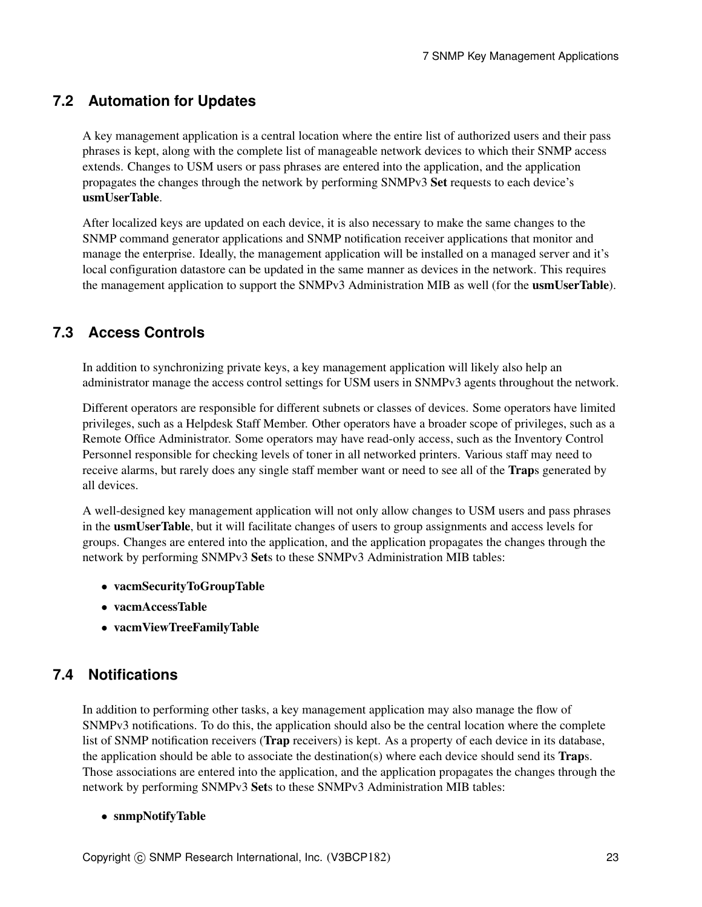## <span id="page-22-1"></span>**7.2 Automation for Updates**

A key management application is a central location where the entire list of authorized users and their pass phrases is kept, along with the complete list of manageable network devices to which their SNMP access extends. Changes to USM users or pass phrases are entered into the application, and the application propagates the changes through the network by performing SNMPv3 Set requests to each device's usmUserTable.

After localized keys are updated on each device, it is also necessary to make the same changes to the SNMP command generator applications and SNMP notification receiver applications that monitor and manage the enterprise. Ideally, the management application will be installed on a managed server and it's local configuration datastore can be updated in the same manner as devices in the network. This requires the management application to support the SNMPv3 Administration MIB as well (for the **usmUserTable**).

## <span id="page-22-0"></span>**7.3 Access Controls**

In addition to synchronizing private keys, a key management application will likely also help an administrator manage the access control settings for USM users in SNMPv3 agents throughout the network.

Different operators are responsible for different subnets or classes of devices. Some operators have limited privileges, such as a Helpdesk Staff Member. Other operators have a broader scope of privileges, such as a Remote Office Administrator. Some operators may have read-only access, such as the Inventory Control Personnel responsible for checking levels of toner in all networked printers. Various staff may need to receive alarms, but rarely does any single staff member want or need to see all of the **Traps** generated by all devices.

A well-designed key management application will not only allow changes to USM users and pass phrases in the usmUserTable, but it will facilitate changes of users to group assignments and access levels for groups. Changes are entered into the application, and the application propagates the changes through the network by performing SNMPv3 Sets to these SNMPv3 Administration MIB tables:

- vacmSecurityToGroupTable
- vacmAccessTable
- vacmViewTreeFamilyTable

## <span id="page-22-2"></span>**7.4 Notifications**

In addition to performing other tasks, a key management application may also manage the flow of SNMPv3 notifications. To do this, the application should also be the central location where the complete list of SNMP notification receivers (Trap receivers) is kept. As a property of each device in its database, the application should be able to associate the destination(s) where each device should send its **Traps**. Those associations are entered into the application, and the application propagates the changes through the network by performing SNMPv3 Sets to these SNMPv3 Administration MIB tables:

#### • snmpNotifyTable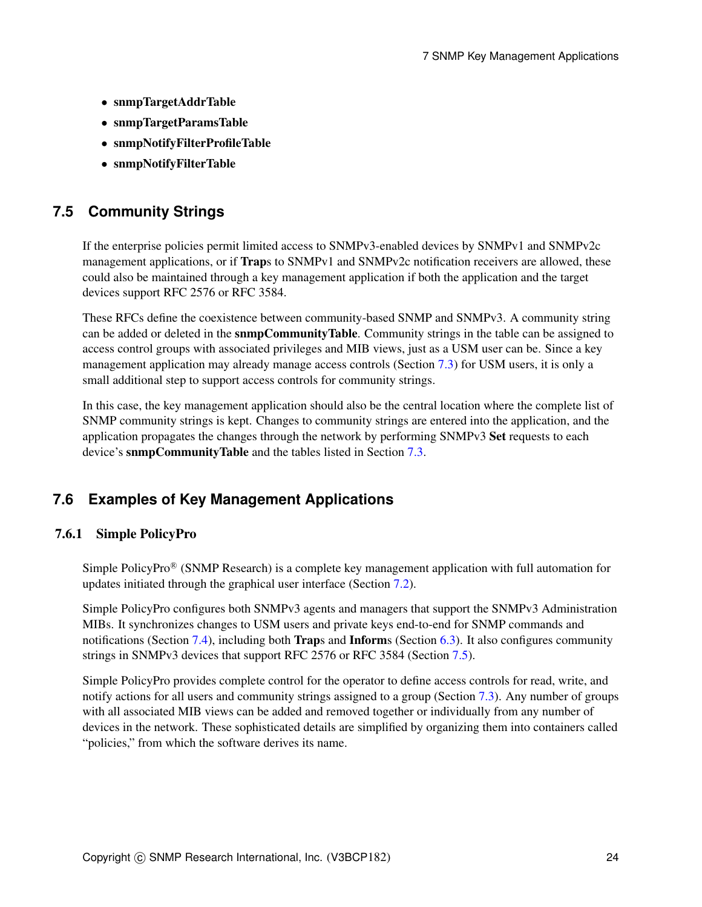- snmpTargetAddrTable
- snmpTargetParamsTable
- snmpNotifyFilterProfileTable
- snmpNotifyFilterTable

### <span id="page-23-0"></span>**7.5 Community Strings**

If the enterprise policies permit limited access to SNMPv3-enabled devices by SNMPv1 and SNMPv2c management applications, or if **Trap**s to SNMPv1 and SNMPv2c notification receivers are allowed, these could also be maintained through a key management application if both the application and the target devices support RFC 2576 or RFC 3584.

These RFCs define the coexistence between community-based SNMP and SNMPv3. A community string can be added or deleted in the **snmpCommunityTable**. Community strings in the table can be assigned to access control groups with associated privileges and MIB views, just as a USM user can be. Since a key management application may already manage access controls (Section [7.3\)](#page-22-0) for USM users, it is only a small additional step to support access controls for community strings.

In this case, the key management application should also be the central location where the complete list of SNMP community strings is kept. Changes to community strings are entered into the application, and the application propagates the changes through the network by performing SNMPv3 Set requests to each device's snmpCommunityTable and the tables listed in Section [7.3.](#page-22-0)

### **7.6 Examples of Key Management Applications**

#### 7.6.1 Simple PolicyPro

Simple PolicyPro® (SNMP Research) is a complete key management application with full automation for updates initiated through the graphical user interface (Section [7.2\)](#page-22-1).

Simple PolicyPro configures both SNMPv3 agents and managers that support the SNMPv3 Administration MIBs. It synchronizes changes to USM users and private keys end-to-end for SNMP commands and notifications (Section [7.4\)](#page-22-2), including both Traps and Informs (Section [6.3\)](#page-18-0). It also configures community strings in SNMPv3 devices that support RFC 2576 or RFC 3584 (Section [7.5\)](#page-23-0).

Simple PolicyPro provides complete control for the operator to define access controls for read, write, and notify actions for all users and community strings assigned to a group (Section [7.3\)](#page-22-0). Any number of groups with all associated MIB views can be added and removed together or individually from any number of devices in the network. These sophisticated details are simplified by organizing them into containers called "policies," from which the software derives its name.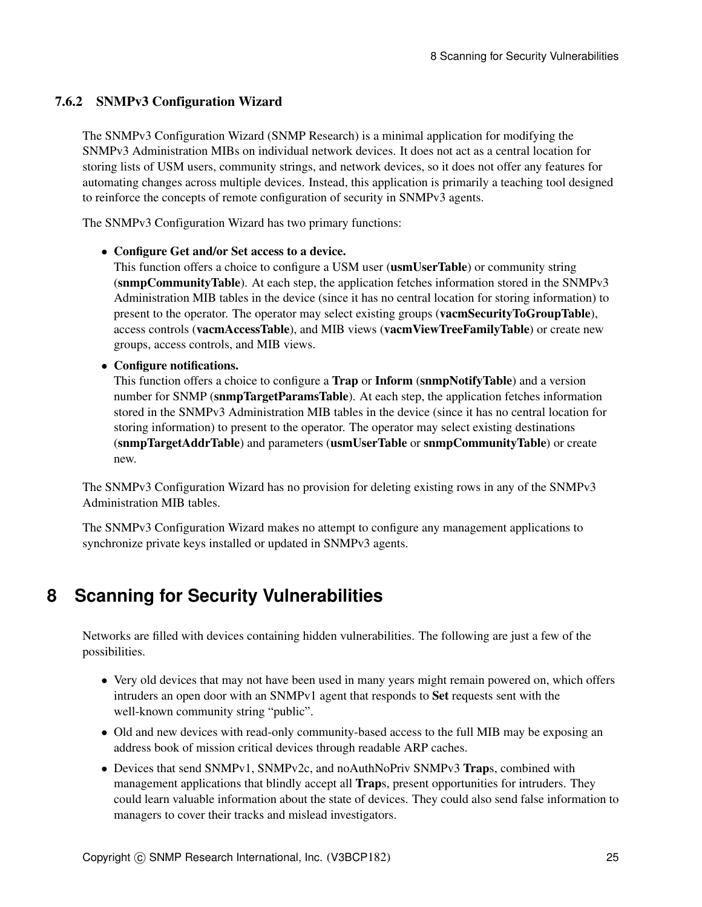### 7.6.2 SNMPv3 Configuration Wizard

The SNMPv3 Configuration Wizard (SNMP Research) is a minimal application for modifying the SNMPv3 Administration MIBs on individual network devices. It does not act as a central location for storing lists of USM users, community strings, and network devices, so it does not offer any features for automating changes across multiple devices. Instead, this application is primarily a teaching tool designed to reinforce the concepts of remote configuration of security in SNMPv3 agents.

The SNMPv3 Configuration Wizard has two primary functions:

#### • Configure Get and/or Set access to a device.

This function offers a choice to configure a USM user (usmUserTable) or community string (snmpCommunityTable). At each step, the application fetches information stored in the SNMPv3 Administration MIB tables in the device (since it has no central location for storing information) to present to the operator. The operator may select existing groups (vacmSecurityToGroupTable), access controls (vacmAccessTable), and MIB views (vacmViewTreeFamilyTable) or create new groups, access controls, and MIB views.

#### • Configure notifications.

This function offers a choice to configure a Trap or Inform (snmpNotifyTable) and a version number for SNMP (snmpTargetParamsTable). At each step, the application fetches information stored in the SNMPv3 Administration MIB tables in the device (since it has no central location for storing information) to present to the operator. The operator may select existing destinations (snmpTargetAddrTable) and parameters (usmUserTable or snmpCommunityTable) or create new.

The SNMPv3 Configuration Wizard has no provision for deleting existing rows in any of the SNMPv3 Administration MIB tables.

The SNMPv3 Configuration Wizard makes no attempt to configure any management applications to synchronize private keys installed or updated in SNMPv3 agents.

## <span id="page-24-0"></span>**8 Scanning for Security Vulnerabilities**

Networks are filled with devices containing hidden vulnerabilities. The following are just a few of the possibilities.

- Very old devices that may not have been used in many years might remain powered on, which offers intruders an open door with an SNMPv1 agent that responds to Set requests sent with the well-known community string "public".
- Old and new devices with read-only community-based access to the full MIB may be exposing an address book of mission critical devices through readable ARP caches.
- Devices that send SNMPv1, SNMPv2c, and noAuthNoPriv SNMPv3 Traps, combined with management applications that blindly accept all **Traps**, present opportunities for intruders. They could learn valuable information about the state of devices. They could also send false information to managers to cover their tracks and mislead investigators.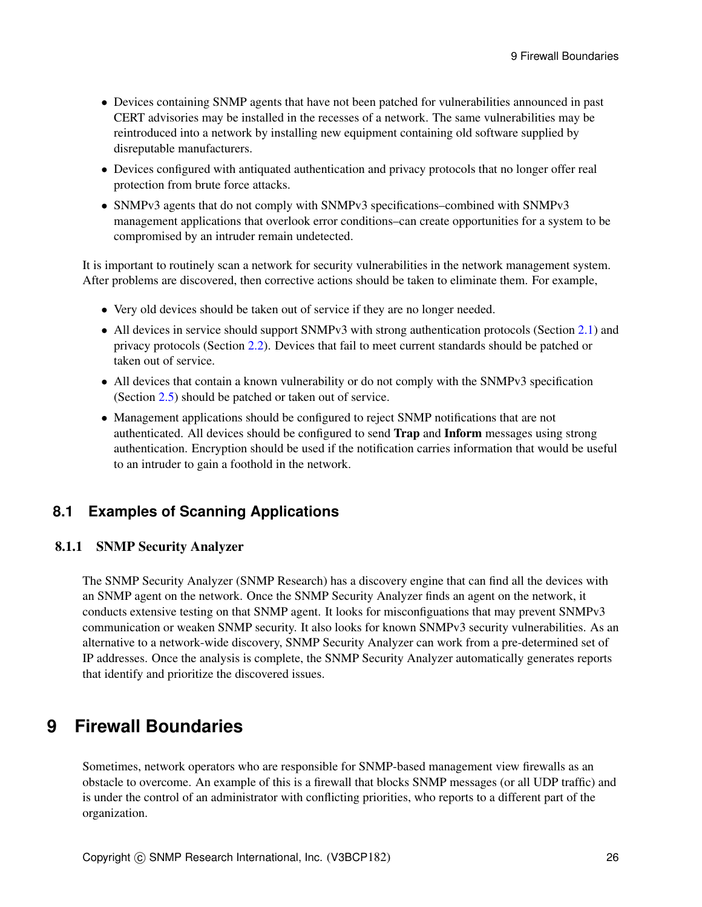- Devices containing SNMP agents that have not been patched for vulnerabilities announced in past CERT advisories may be installed in the recesses of a network. The same vulnerabilities may be reintroduced into a network by installing new equipment containing old software supplied by disreputable manufacturers.
- Devices configured with antiquated authentication and privacy protocols that no longer offer real protection from brute force attacks.
- SNMPv3 agents that do not comply with SNMPv3 specifications–combined with SNMPv3 management applications that overlook error conditions–can create opportunities for a system to be compromised by an intruder remain undetected.

It is important to routinely scan a network for security vulnerabilities in the network management system. After problems are discovered, then corrective actions should be taken to eliminate them. For example,

- Very old devices should be taken out of service if they are no longer needed.
- All devices in service should support SNMPv3 with strong authentication protocols (Section [2.1\)](#page-5-1) and privacy protocols (Section [2.2\)](#page-6-0). Devices that fail to meet current standards should be patched or taken out of service.
- All devices that contain a known vulnerability or do not comply with the SNMPv3 specification (Section [2.5\)](#page-7-1) should be patched or taken out of service.
- Management applications should be configured to reject SNMP notifications that are not authenticated. All devices should be configured to send Trap and Inform messages using strong authentication. Encryption should be used if the notification carries information that would be useful to an intruder to gain a foothold in the network.

### **8.1 Examples of Scanning Applications**

#### 8.1.1 SNMP Security Analyzer

The SNMP Security Analyzer (SNMP Research) has a discovery engine that can find all the devices with an SNMP agent on the network. Once the SNMP Security Analyzer finds an agent on the network, it conducts extensive testing on that SNMP agent. It looks for misconfiguations that may prevent SNMPv3 communication or weaken SNMP security. It also looks for known SNMPv3 security vulnerabilities. As an alternative to a network-wide discovery, SNMP Security Analyzer can work from a pre-determined set of IP addresses. Once the analysis is complete, the SNMP Security Analyzer automatically generates reports that identify and prioritize the discovered issues.

## **9 Firewall Boundaries**

Sometimes, network operators who are responsible for SNMP-based management view firewalls as an obstacle to overcome. An example of this is a firewall that blocks SNMP messages (or all UDP traffic) and is under the control of an administrator with conflicting priorities, who reports to a different part of the organization.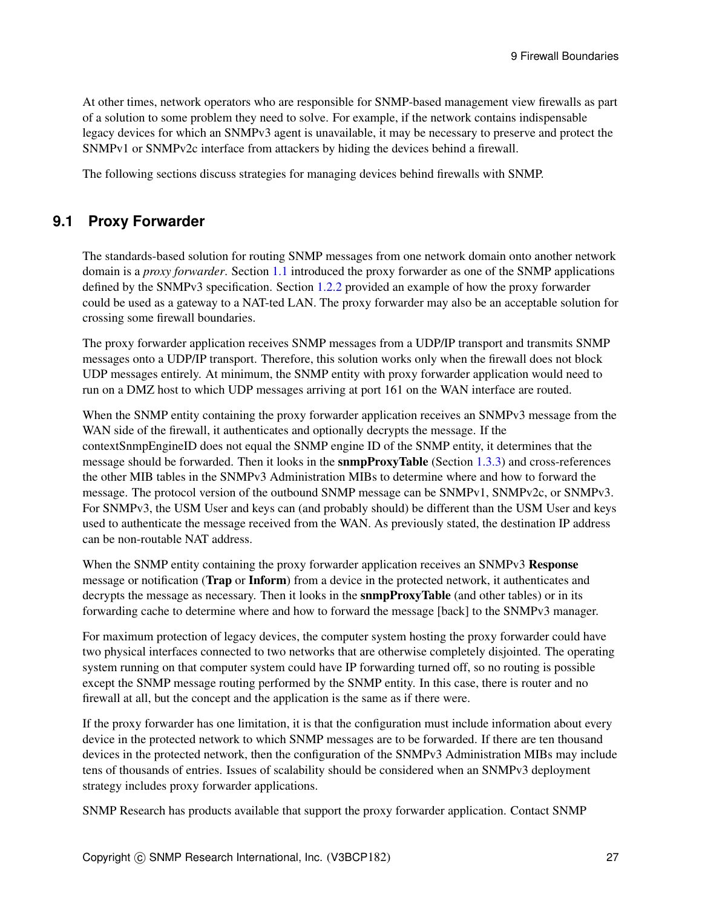At other times, network operators who are responsible for SNMP-based management view firewalls as part of a solution to some problem they need to solve. For example, if the network contains indispensable legacy devices for which an SNMPv3 agent is unavailable, it may be necessary to preserve and protect the SNMPv1 or SNMPv2c interface from attackers by hiding the devices behind a firewall.

The following sections discuss strategies for managing devices behind firewalls with SNMP.

### **9.1 Proxy Forwarder**

The standards-based solution for routing SNMP messages from one network domain onto another network domain is a *proxy forwarder*. Section [1.1](#page-1-0) introduced the proxy forwarder as one of the SNMP applications defined by the SNMPv3 specification. Section [1.2.2](#page-2-1) provided an example of how the proxy forwarder could be used as a gateway to a NAT-ted LAN. The proxy forwarder may also be an acceptable solution for crossing some firewall boundaries.

The proxy forwarder application receives SNMP messages from a UDP/IP transport and transmits SNMP messages onto a UDP/IP transport. Therefore, this solution works only when the firewall does not block UDP messages entirely. At minimum, the SNMP entity with proxy forwarder application would need to run on a DMZ host to which UDP messages arriving at port 161 on the WAN interface are routed.

When the SNMP entity containing the proxy forwarder application receives an SNMPv3 message from the WAN side of the firewall, it authenticates and optionally decrypts the message. If the contextSnmpEngineID does not equal the SNMP engine ID of the SNMP entity, it determines that the message should be forwarded. Then it looks in the snmpProxyTable (Section [1.3.3\)](#page-4-0) and cross-references the other MIB tables in the SNMPv3 Administration MIBs to determine where and how to forward the message. The protocol version of the outbound SNMP message can be SNMPv1, SNMPv2c, or SNMPv3. For SNMPv3, the USM User and keys can (and probably should) be different than the USM User and keys used to authenticate the message received from the WAN. As previously stated, the destination IP address can be non-routable NAT address.

When the SNMP entity containing the proxy forwarder application receives an SNMPv3 Response message or notification (Trap or Inform) from a device in the protected network, it authenticates and decrypts the message as necessary. Then it looks in the **snmpProxyTable** (and other tables) or in its forwarding cache to determine where and how to forward the message [back] to the SNMPv3 manager.

For maximum protection of legacy devices, the computer system hosting the proxy forwarder could have two physical interfaces connected to two networks that are otherwise completely disjointed. The operating system running on that computer system could have IP forwarding turned off, so no routing is possible except the SNMP message routing performed by the SNMP entity. In this case, there is router and no firewall at all, but the concept and the application is the same as if there were.

If the proxy forwarder has one limitation, it is that the configuration must include information about every device in the protected network to which SNMP messages are to be forwarded. If there are ten thousand devices in the protected network, then the configuration of the SNMPv3 Administration MIBs may include tens of thousands of entries. Issues of scalability should be considered when an SNMPv3 deployment strategy includes proxy forwarder applications.

SNMP Research has products available that support the proxy forwarder application. Contact SNMP